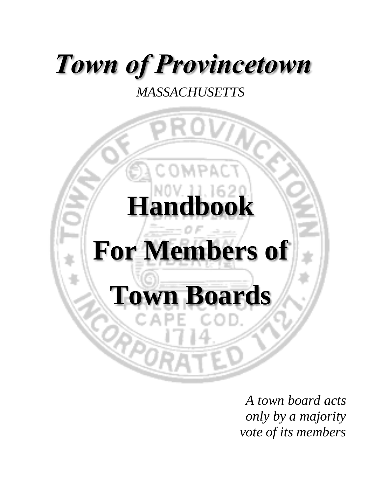# *Town of Provincetown*

### *MASSACHUSETTS*



*A town board acts only by a majority vote of its members*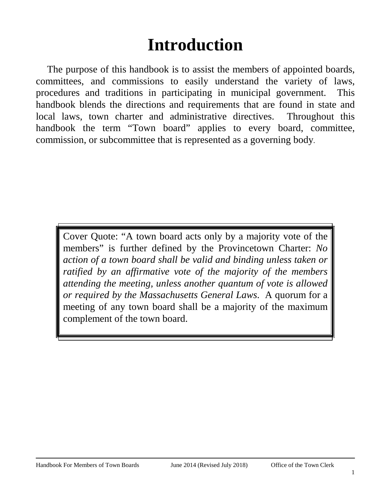### **Introduction**

<span id="page-1-0"></span>The purpose of this handbook is to assist the members of appointed boards, committees, and commissions to easily understand the variety of laws, procedures and traditions in participating in municipal government. This handbook blends the directions and requirements that are found in state and local laws, town charter and administrative directives. Throughout this handbook the term "Town board" applies to every board, committee, commission, or subcommittee that is represented as a governing body.

Cover Quote: "A town board acts only by a majority vote of the members" is further defined by the Provincetown Charter: *No action of a town board shall be valid and binding unless taken or ratified by an affirmative vote of the majority of the members attending the meeting, unless another quantum of vote is allowed or required by the Massachusetts General Laws*. A quorum for a meeting of any town board shall be a majority of the maximum complement of the town board.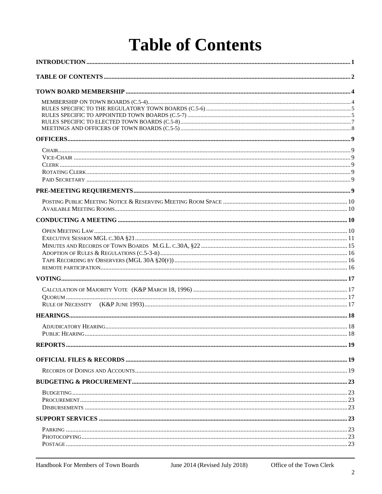### **Table of Contents**

<span id="page-2-0"></span>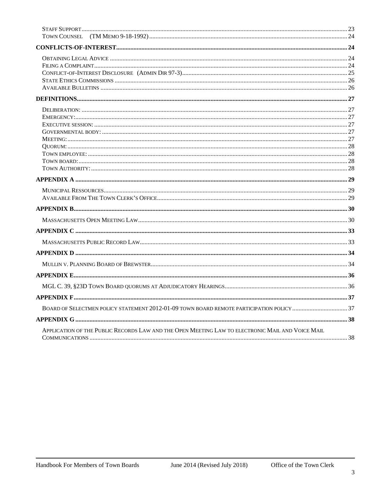| APPLICATION OF THE PUBLIC RECORDS LAW AND THE OPEN MEETING LAW TO ELECTRONIC MAIL AND VOICE MAIL |  |
|--------------------------------------------------------------------------------------------------|--|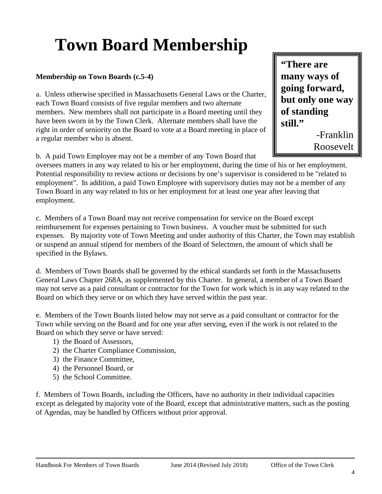# <span id="page-4-0"></span>**Town Board Membership**

### <span id="page-4-1"></span>**Membership on Town Boards (c.5-4)**

a. Unless otherwise specified in Massachusetts General Laws or the Charter, each Town Board consists of five regular members and two alternate members. New members shall not participate in a Board meeting until they have been sworn in by the Town Clerk. Alternate members shall have the right in order of seniority on the Board to vote at a Board meeting in place of a regular member who is absent.

b. A paid Town Employee may not be a member of any Town Board that

**"There are many ways of going forward, but only one way of standing still."**

-Franklin Roosevelt

oversees matters in any way related to his or her employment, during the time of his or her employment. Potential responsibility to review actions or decisions by one's supervisor is considered to be "related to employment". In addition, a paid Town Employee with supervisory duties may not be a member of any Town Board in any way related to his or her employment for at least one year after leaving that employment.

c. Members of a Town Board may not receive compensation for service on the Board except reimbursement for expenses pertaining to Town business. A voucher must be submitted for such expenses. By majority vote of Town Meeting and under authority of this Charter, the Town may establish or suspend an annual stipend for members of the Board of Selectmen, the amount of which shall be specified in the Bylaws.

d. Members of Town Boards shall be governed by the ethical standards set forth in the Massachusetts General Laws Chapter 268A, as supplemented by this Charter. In general, a member of a Town Board may not serve as a paid consultant or contractor for the Town for work which is in any way related to the Board on which they serve or on which they have served within the past year.

e. Members of the Town Boards listed below may not serve as a paid consultant or contractor for the Town while serving on the Board and for one year after serving, even if the work is not related to the Board on which they serve or have served:

- 1) the Board of Assessors,
- 2) the Charter Compliance Commission,
- 3) the Finance Committee,
- 4) the Personnel Board, or
- 5) the School Committee.

f. Members of Town Boards, including the Officers, have no authority in their individual capacities except as delegated by majority vote of the Board, except that administrative matters, such as the posting of Agendas, may be handled by Officers without prior approval.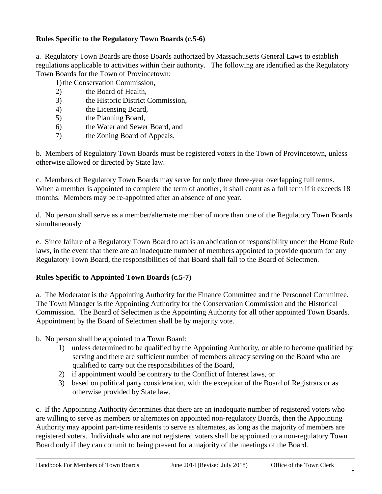### <span id="page-5-0"></span>**Rules Specific to the Regulatory Town Boards (c.5-6)**

a. Regulatory Town Boards are those Boards authorized by Massachusetts General Laws to establish regulations applicable to activities within their authority. The following are identified as the Regulatory Town Boards for the Town of Provincetown:

1)the Conservation Commission,

- 2) the Board of Health,
- 3) the Historic District Commission,
- 4) the Licensing Board,
- 5) the Planning Board,
- 6) the Water and Sewer Board, and
- 7) the Zoning Board of Appeals.

b. Members of Regulatory Town Boards must be registered voters in the Town of Provincetown, unless otherwise allowed or directed by State law.

c. Members of Regulatory Town Boards may serve for only three three-year overlapping full terms. When a member is appointed to complete the term of another, it shall count as a full term if it exceeds 18 months. Members may be re-appointed after an absence of one year.

d. No person shall serve as a member/alternate member of more than one of the Regulatory Town Boards simultaneously.

e. Since failure of a Regulatory Town Board to act is an abdication of responsibility under the Home Rule laws, in the event that there are an inadequate number of members appointed to provide quorum for any Regulatory Town Board, the responsibilities of that Board shall fall to the Board of Selectmen.

### <span id="page-5-1"></span>**Rules Specific to Appointed Town Boards (c.5-7)**

a. The Moderator is the Appointing Authority for the Finance Committee and the Personnel Committee. The Town Manager is the Appointing Authority for the Conservation Commission and the Historical Commission. The Board of Selectmen is the Appointing Authority for all other appointed Town Boards. Appointment by the Board of Selectmen shall be by majority vote.

b. No person shall be appointed to a Town Board:

- 1) unless determined to be qualified by the Appointing Authority, or able to become qualified by serving and there are sufficient number of members already serving on the Board who are qualified to carry out the responsibilities of the Board,
- 2) if appointment would be contrary to the Conflict of Interest laws, or
- 3) based on political party consideration, with the exception of the Board of Registrars or as otherwise provided by State law.

c. If the Appointing Authority determines that there are an inadequate number of registered voters who are willing to serve as members or alternates on appointed non-regulatory Boards, then the Appointing Authority may appoint part-time residents to serve as alternates, as long as the majority of members are registered voters. Individuals who are not registered voters shall be appointed to a non-regulatory Town Board only if they can commit to being present for a majority of the meetings of the Board.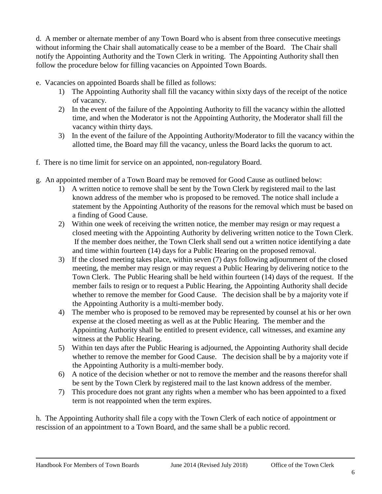d. A member or alternate member of any Town Board who is absent from three consecutive meetings without informing the Chair shall automatically cease to be a member of the Board. The Chair shall notify the Appointing Authority and the Town Clerk in writing. The Appointing Authority shall then follow the procedure below for filling vacancies on Appointed Town Boards.

- e. Vacancies on appointed Boards shall be filled as follows:
	- 1) The Appointing Authority shall fill the vacancy within sixty days of the receipt of the notice of vacancy.
	- 2) In the event of the failure of the Appointing Authority to fill the vacancy within the allotted time, and when the Moderator is not the Appointing Authority, the Moderator shall fill the vacancy within thirty days.
	- 3) In the event of the failure of the Appointing Authority/Moderator to fill the vacancy within the allotted time, the Board may fill the vacancy, unless the Board lacks the quorum to act.
- f. There is no time limit for service on an appointed, non-regulatory Board.
- g. An appointed member of a Town Board may be removed for Good Cause as outlined below:
	- 1) A written notice to remove shall be sent by the Town Clerk by registered mail to the last known address of the member who is proposed to be removed. The notice shall include a statement by the Appointing Authority of the reasons for the removal which must be based on a finding of Good Cause.
	- 2) Within one week of receiving the written notice, the member may resign or may request a closed meeting with the Appointing Authority by delivering written notice to the Town Clerk. If the member does neither, the Town Clerk shall send out a written notice identifying a date and time within fourteen (14) days for a Public Hearing on the proposed removal.
	- 3) If the closed meeting takes place, within seven (7) days following adjournment of the closed meeting, the member may resign or may request a Public Hearing by delivering notice to the Town Clerk. The Public Hearing shall be held within fourteen (14) days of the request. If the member fails to resign or to request a Public Hearing, the Appointing Authority shall decide whether to remove the member for Good Cause. The decision shall be by a majority vote if the Appointing Authority is a multi-member body.
	- 4) The member who is proposed to be removed may be represented by counsel at his or her own expense at the closed meeting as well as at the Public Hearing. The member and the Appointing Authority shall be entitled to present evidence, call witnesses, and examine any witness at the Public Hearing.
	- 5) Within ten days after the Public Hearing is adjourned, the Appointing Authority shall decide whether to remove the member for Good Cause. The decision shall be by a majority vote if the Appointing Authority is a multi-member body.
	- 6) A notice of the decision whether or not to remove the member and the reasons therefor shall be sent by the Town Clerk by registered mail to the last known address of the member.
	- 7) This procedure does not grant any rights when a member who has been appointed to a fixed term is not reappointed when the term expires.

h. The Appointing Authority shall file a copy with the Town Clerk of each notice of appointment or rescission of an appointment to a Town Board, and the same shall be a public record.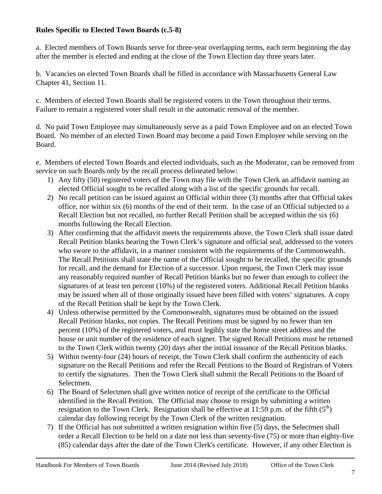### <span id="page-7-0"></span>**Rules Specific to Elected Town Boards (c.5-8)**

a. Elected members of Town Boards serve for three-year overlapping terms, each term beginning the day after the member is elected and ending at the close of the Town Election day three years later.

b. Vacancies on elected Town Boards shall be filled in accordance with Massachusetts General Law Chapter 41, Section 11.

c. Members of elected Town Boards shall be registered voters in the Town throughout their terms. Failure to remain a registered voter shall result in the automatic removal of the member.

d. No paid Town Employee may simultaneously serve as a paid Town Employee and on an elected Town Board. No member of an elected Town Board may become a paid Town Employee while serving on the Board.

e. Members of elected Town Boards and elected individuals, such as the Moderator, can be removed from service on such Boards only by the recall process delineated below:

- 1) Any fifty (50) registered voters of the Town may file with the Town Clerk an affidavit naming an elected Official sought to be recalled along with a list of the specific grounds for recall.
- 2) No recall petition can be issued against an Official within three (3) months after that Official takes office, nor within six (6) months of the end of their term. In the case of an Official subjected to a Recall Election but not recalled, no further Recall Petition shall be accepted within the six (6) months following the Recall Election.
- 3) After confirming that the affidavit meets the requirements above, the Town Clerk shall issue dated Recall Petition blanks bearing the Town Clerk's signature and official seal, addressed to the voters who swore to the affidavit, in a manner consistent with the requirements of the Commonwealth. The Recall Petitions shall state the name of the Official sought to be recalled, the specific grounds for recall, and the demand for Election of a successor. Upon request, the Town Clerk may issue any reasonably required number of Recall Petition blanks but no fewer than enough to collect the signatures of at least ten percent (10%) of the registered voters. Additional Recall Petition blanks may be issued when all of those originally issued have been filled with voters' signatures. A copy of the Recall Petition shall be kept by the Town Clerk.
- 4) Unless otherwise permitted by the Commonwealth, signatures must be obtained on the issued Recall Petition blanks, not copies. The Recall Petitions must be signed by no fewer than ten percent (10%) of the registered voters, and must legibly state the home street address and the house or unit number of the residence of each signer. The signed Recall Petitions must be returned to the Town Clerk within twenty (20) days after the initial issuance of the Recall Petition blanks.
- 5) Within twenty-four (24) hours of receipt, the Town Clerk shall confirm the authenticity of each signature on the Recall Petitions and refer the Recall Petitions to the Board of Registrars of Voters to certify the signatures. Then the Town Clerk shall submit the Recall Petitions to the Board of Selectmen.
- 6) The Board of Selectmen shall give written notice of receipt of the certificate to the Official identified in the Recall Petition. The Official may choose to resign by submitting a written resignation to the Town Clerk. Resignation shall be effective at 11:59 p.m. of the fifth  $(5<sup>th</sup>)$ calendar day following receipt by the Town Clerk of the written resignation.
- 7) If the Official has not submitted a written resignation within five (5) days, the Selectmen shall order a Recall Election to be held on a date not less than seventy-five (75) or more than eighty-five (85) calendar days after the date of the Town Clerk's certificate. However, if any other Election is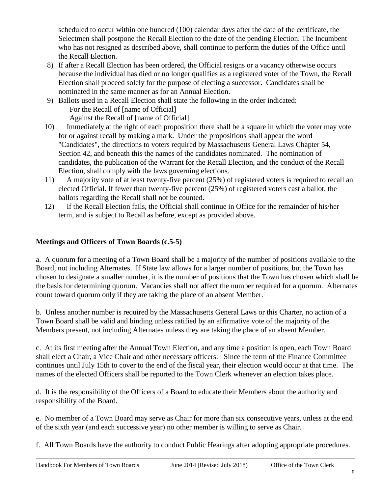scheduled to occur within one hundred (100) calendar days after the date of the certificate, the Selectmen shall postpone the Recall Election to the date of the pending Election. The Incumbent who has not resigned as described above, shall continue to perform the duties of the Office until the Recall Election.

- 8) If after a Recall Election has been ordered, the Official resigns or a vacancy otherwise occurs because the individual has died or no longer qualifies as a registered voter of the Town, the Recall Election shall proceed solely for the purpose of electing a successor. Candidates shall be nominated in the same manner as for an Annual Election.
- 9) Ballots used in a Recall Election shall state the following in the order indicated: For the Recall of [name of Official] Against the Recall of [name of Official]
- 10) Immediately at the right of each proposition there shall be a square in which the voter may vote for or against recall by making a mark. Under the propositions shall appear the word "Candidates", the directions to voters required by Massachusetts General Laws Chapter 54, Section 42, and beneath this the names of the candidates nominated. The nomination of candidates, the publication of the Warrant for the Recall Election, and the conduct of the Recall Election, shall comply with the laws governing elections.
- 11) A majority vote of at least twenty-five percent (25%) of registered voters is required to recall an elected Official. If fewer than twenty-five percent (25%) of registered voters cast a ballot, the ballots regarding the Recall shall not be counted.
- 12) If the Recall Election fails, the Official shall continue in Office for the remainder of his/her term, and is subject to Recall as before, except as provided above.

### <span id="page-8-0"></span>**Meetings and Officers of Town Boards (c.5-5)**

a. A quorum for a meeting of a Town Board shall be a majority of the number of positions available to the Board, not including Alternates. If State law allows for a larger number of positions, but the Town has chosen to designate a smaller number, it is the number of positions that the Town has chosen which shall be the basis for determining quorum. Vacancies shall not affect the number required for a quorum. Alternates count toward quorum only if they are taking the place of an absent Member.

b. Unless another number is required by the Massachusetts General Laws or this Charter, no action of a Town Board shall be valid and binding unless ratified by an affirmative vote of the majority of the Members present, not including Alternates unless they are taking the place of an absent Member.

c. At its first meeting after the Annual Town Election, and any time a position is open, each Town Board shall elect a Chair, a Vice Chair and other necessary officers. Since the term of the Finance Committee continues until July 15th to cover to the end of the fiscal year, their election would occur at that time. The names of the elected Officers shall be reported to the Town Clerk whenever an election takes place.

d. It is the responsibility of the Officers of a Board to educate their Members about the authority and responsibility of the Board.

e. No member of a Town Board may serve as Chair for more than six consecutive years, unless at the end of the sixth year (and each successive year) no other member is willing to serve as Chair.

f. All Town Boards have the authority to conduct Public Hearings after adopting appropriate procedures.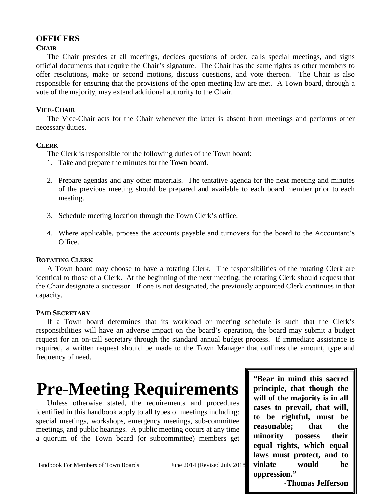### <span id="page-9-0"></span>**OFFICERS**

### <span id="page-9-1"></span>**CHAIR**

The Chair presides at all meetings, decides questions of order, calls special meetings, and signs official documents that require the Chair's signature. The Chair has the same rights as other members to offer resolutions, make or second motions, discuss questions, and vote thereon. The Chair is also responsible for ensuring that the provisions of the open meeting law are met. A Town board, through a vote of the majority, may extend additional authority to the Chair.

### <span id="page-9-2"></span>**VICE-CHAIR**

The Vice-Chair acts for the Chair whenever the latter is absent from meetings and performs other necessary duties.

### <span id="page-9-3"></span>**CLERK**

The Clerk is responsible for the following duties of the Town board:

- 1. Take and prepare the minutes for the Town board.
- 2. Prepare agendas and any other materials. The tentative agenda for the next meeting and minutes of the previous meeting should be prepared and available to each board member prior to each meeting.
- 3. Schedule meeting location through the Town Clerk's office.
- 4. Where applicable, process the accounts payable and turnovers for the board to the Accountant's Office.

### <span id="page-9-4"></span>**ROTATING CLERK**

A Town board may choose to have a rotating Clerk. The responsibilities of the rotating Clerk are identical to those of a Clerk. At the beginning of the next meeting, the rotating Clerk should request that the Chair designate a successor. If one is not designated, the previously appointed Clerk continues in that capacity.

### <span id="page-9-5"></span>**PAID SECRETARY**

If a Town board determines that its workload or meeting schedule is such that the Clerk's responsibilities will have an adverse impact on the board's operation, the board may submit a budget request for an on-call secretary through the standard annual budget process. If immediate assistance is required, a written request should be made to the Town Manager that outlines the amount, type and frequency of need.

## <span id="page-9-6"></span>**Pre-Meeting Requirements**

Unless otherwise stated, the requirements and procedures identified in this handbook apply to all types of meetings including: special meetings, workshops, emergency meetings, sub-committee meetings, and public hearings. A public meeting occurs at any time a quorum of the Town board (or subcommittee) members get

 $\mathsf{l}$ **"Bear in mind this sacred principle, that though the will of the majority is in all cases to prevail, that will, to be rightful, must be reasonable; that the minority possess their equal rights, which equal laws must protect, and to violate would be oppression."**

Handbook For Members of Town Boards June 2014 (Revised July 2018) violate would

**-Thomas Jefferson**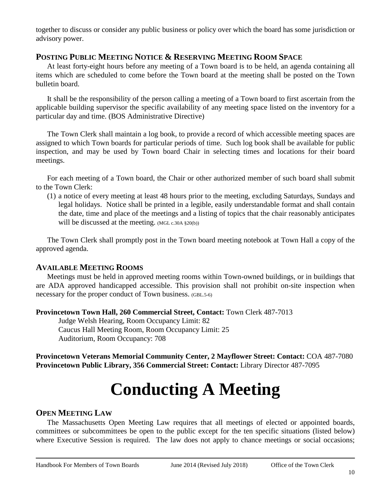together to discuss or consider any public business or policy over which the board has some jurisdiction or advisory power.

### <span id="page-10-0"></span>**POSTING PUBLIC MEETING NOTICE & RESERVING MEETING ROOM SPACE**

At least forty-eight hours before any meeting of a Town board is to be held, an agenda containing all items which are scheduled to come before the Town board at the meeting shall be posted on the Town bulletin board.

It shall be the responsibility of the person calling a meeting of a Town board to first ascertain from the applicable building supervisor the specific availability of any meeting space listed on the inventory for a particular day and time. (BOS Administrative Directive)

The Town Clerk shall maintain a log book, to provide a record of which accessible meeting spaces are assigned to which Town boards for particular periods of time. Such log book shall be available for public inspection, and may be used by Town board Chair in selecting times and locations for their board meetings.

For each meeting of a Town board, the Chair or other authorized member of such board shall submit to the Town Clerk:

(1) a notice of every meeting at least 48 hours prior to the meeting, excluding Saturdays, Sundays and legal holidays. Notice shall be printed in a legible, easily understandable format and shall contain the date, time and place of the meetings and a listing of topics that the chair reasonably anticipates will be discussed at the meeting. (MGL c.30A §20(b))

The Town Clerk shall promptly post in the Town board meeting notebook at Town Hall a copy of the approved agenda.

### <span id="page-10-1"></span>**AVAILABLE MEETING ROOMS**

Meetings must be held in approved meeting rooms within Town-owned buildings, or in buildings that are ADA approved handicapped accessible. This provision shall not prohibit on-site inspection when necessary for the proper conduct of Town business. (GBL.5-6)

**Provincetown Town Hall, 260 Commercial Street, Contact:** Town Clerk 487-7013

Judge Welsh Hearing, Room Occupancy Limit: 82 Caucus Hall Meeting Room, Room Occupancy Limit: 25 Auditorium, Room Occupancy: 708

<span id="page-10-2"></span>**Provincetown Veterans Memorial Community Center, 2 Mayflower Street: Contact:** COA 487-7080 **Provincetown Public Library, 356 Commercial Street: Contact:** Library Director 487-7095

## **Conducting A Meeting**

### <span id="page-10-3"></span>**OPEN MEETING LAW**

The Massachusetts Open Meeting Law requires that all meetings of elected or appointed boards, committees or subcommittees be open to the public except for the ten specific situations (listed below) where Executive Session is required. The law does not apply to chance meetings or social occasions;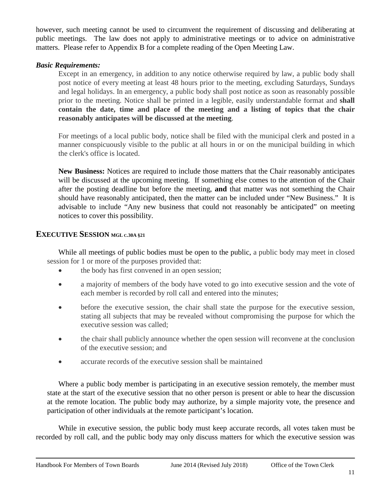however, such meeting cannot be used to circumvent the requirement of discussing and deliberating at public meetings. The law does not apply to administrative meetings or to advice on administrative matters. Please refer to Appendix B for a complete reading of the Open Meeting Law.

#### *Basic Requirements:*

Except in an emergency, in addition to any notice otherwise required by law, a public body shall post notice of every meeting at least 48 hours prior to the meeting, excluding Saturdays, Sundays and legal holidays. In an emergency, a public body shall post notice as soon as reasonably possible prior to the meeting. Notice shall be printed in a legible, easily understandable format and **shall contain the date, time and place of the meeting and a listing of topics that the chair reasonably anticipates will be discussed at the meeting**.

For meetings of a local public body, notice shall be filed with the municipal clerk and posted in a manner conspicuously visible to the public at all hours in or on the municipal building in which the clerk's office is located.

**New Business:** Notices are required to include those matters that the Chair reasonably anticipates will be discussed at the upcoming meeting. If something else comes to the attention of the Chair after the posting deadline but before the meeting, **and** that matter was not something the Chair should have reasonably anticipated, then the matter can be included under "New Business." It is advisable to include "Any new business that could not reasonably be anticipated" on meeting notices to cover this possibility.

### <span id="page-11-0"></span>**EXECUTIVE SESSION MGL C.30A §21**

While all meetings of public bodies must be open to the public, a public body may meet in closed session for 1 or more of the purposes provided that:

- the body has first convened in an open session;
- a majority of members of the body have voted to go into executive session and the vote of each member is recorded by roll call and entered into the minutes;
- before the executive session, the chair shall state the purpose for the executive session, stating all subjects that may be revealed without compromising the purpose for which the executive session was called;
- the chair shall publicly announce whether the open session will reconvene at the conclusion of the executive session; and
- accurate records of the executive session shall be maintained

Where a public body member is participating in an executive session remotely, the member must state at the start of the executive session that no other person is present or able to hear the discussion at the remote location. The public body may authorize, by a simple majority vote, the presence and participation of other individuals at the remote participant's location.

While in executive session, the public body must keep accurate records, all votes taken must be recorded by roll call, and the public body may only discuss matters for which the executive session was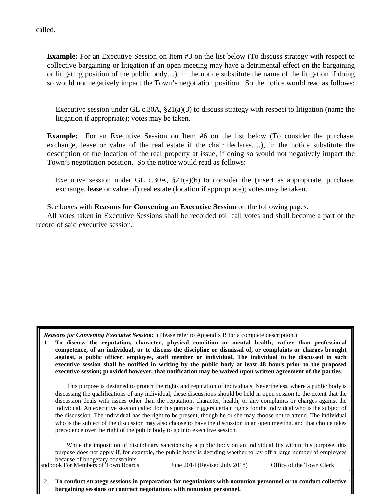called.

**Example:** For an Executive Session on Item #3 on the list below (To discuss strategy with respect to collective bargaining or litigation if an open meeting may have a detrimental effect on the bargaining or litigating position of the public body…), in the notice substitute the name of the litigation if doing so would not negatively impact the Town's negotiation position. So the notice would read as follows:

Executive session under GL c.30A, §21(a)(3) to discuss strategy with respect to litigation (name the litigation if appropriate); votes may be taken.

**Example:** For an Executive Session on Item #6 on the list below (To consider the purchase, exchange, lease or value of the real estate if the chair declares.…), in the notice substitute the description of the location of the real property at issue, if doing so would not negatively impact the Town's negotiation position. So the notice would read as follows:

Executive session under GL c.30A,  $\S21(a)(6)$  to consider the (insert as appropriate, purchase, exchange, lease or value of) real estate (location if appropriate); votes may be taken.

See boxes with **Reasons for Convening an Executive Session** on the following pages.

All votes taken in Executive Sessions shall be recorded roll call votes and shall become a part of the record of said executive session.

*Reasons for Convening Executive Session:* (Please refer to Appendix B for a complete description.)

1. **To discuss the reputation, character, physical condition or mental health, rather than professional competence, of an individual, or to discuss the discipline or dismissal of, or complaints or charges brought against, a public officer, employee, staff member or individual. The individual to be discussed in such executive session shall be notified in writing by the public body at least 48 hours prior to the proposed executive session; provided however, that notification may be waived upon written agreement of the parties.**

This purpose is designed to protect the rights and reputation of individuals. Nevertheless, where a public body is discussing the qualifications of any individual, these discussions should be held in open session to the extent that the discussion deals with issues other than the reputation, character, health, or any complaints or charges against the individual. An executive session called for this purpose triggers certain rights for the individual who is the subject of the discussion. The individual has the right to be present, though he or she may choose not to attend. The individual who is the subject of the discussion may also choose to have the discussion in an open meeting, and that choice takes precedence over the right of the public body to go into executive session.

While the imposition of disciplinary sanctions by a public body on an individual fits within this purpose, this purpose does not apply if, for example, the public body is deciding whether to lay off a large number of employees  $b$  acques of budgetary constraints

 $1$ 

| andbook For Members of Town Boards<br>June $2014$ (Revised July $2018$ ) | Office of the Town Clerk |
|--------------------------------------------------------------------------|--------------------------|
|--------------------------------------------------------------------------|--------------------------|

2. **To conduct strategy sessions in preparation for negotiations with nonunion personnel or to conduct collective bargaining sessions or contract negotiations with nonunion personnel.**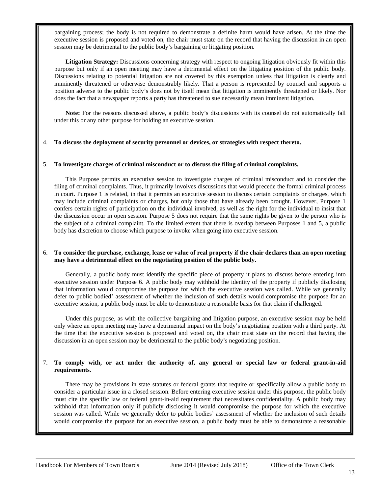bargaining process; the body is not required to demonstrate a definite harm would have arisen. At the time the executive session is proposed and voted on, the chair must state on the record that having the discussion in an open session may be detrimental to the public body's bargaining or litigating position.

**Litigation Strategy:** Discussions concerning strategy with respect to ongoing litigation obviously fit within this purpose but only if an open meeting may have a detrimental effect on the litigating position of the public body. Discussions relating to potential litigation are not covered by this exemption unless that litigation is clearly and imminently threatened or otherwise demonstrably likely. That a person is represented by counsel and supports a position adverse to the public body's does not by itself mean that litigation is imminently threatened or likely. Nor does the fact that a newspaper reports a party has threatened to sue necessarily mean imminent litigation.

**Note:** For the reasons discussed above, a public body's discussions with its counsel do not automatically fall under this or any other purpose for holding an executive session.

#### 4. **To discuss the deployment of security personnel or devices, or strategies with respect thereto.**

#### 5. **To investigate charges of criminal misconduct or to discuss the filing of criminal complaints.**

This Purpose permits an executive session to investigate charges of criminal misconduct and to consider the filing of criminal complaints. Thus, it primarily involves discussions that would precede the formal criminal process in court. Purpose 1 is related, in that it permits an executive session to discuss certain complaints or charges, which may include criminal complaints or charges, but only those that have already been brought. However, Purpose 1 confers certain rights of participation on the individual involved, as well as the right for the individual to insist that the discussion occur in open session. Purpose 5 does not require that the same rights be given to the person who is the subject of a criminal complaint. To the limited extent that there is overlap between Purposes 1 and 5, a public body has discretion to choose which purpose to invoke when going into executive session.

#### 6. **To consider the purchase, exchange, lease or value of real property if the chair declares than an open meeting may have a detrimental effect on the negotiating position of the public body.**

Generally, a public body must identify the specific piece of property it plans to discuss before entering into executive session under Purpose 6. A public body may withhold the identity of the property if publicly disclosing that information would compromise the purpose for which the executive session was called. While we generally defer to public bodied' assessment of whether the inclusion of such details would compromise the purpose for an executive session, a public body must be able to demonstrate a reasonable basis for that claim if challenged.

Under this purpose, as with the collective bargaining and litigation purpose, an executive session may be held only where an open meeting may have a detrimental impact on the body's negotiating position with a third party. At the time that the executive session is proposed and voted on, the chair must state on the record that having the discussion in an open session may be detrimental to the public body's negotiating position.

#### 7. **To comply with, or act under the authority of, any general or special law or federal grant-in-aid requirements.**

There may be provisions in state statutes or federal grants that require or specifically allow a public body to consider a particular issue in a closed session. Before entering executive session under this purpose, the public body must cite the specific law or federal grant-in-aid requirement that necessitates confidentiality. A public body may withhold that information only if publicly disclosing it would compromise the purpose for which the executive session was called. While we generally defer to public bodies' assessment of whether the inclusion of such details would compromise the purpose for an executive session, a public body must be able to demonstrate a reasonable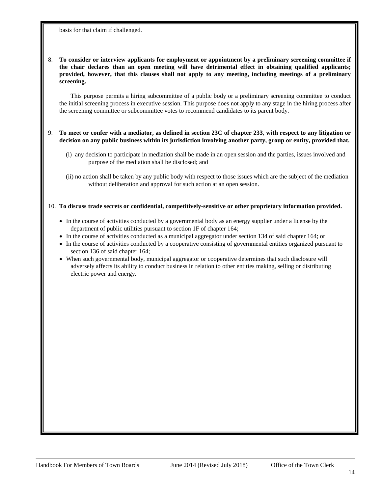basis for that claim if challenged.

#### 8. **To consider or interview applicants for employment or appointment by a preliminary screening committee if the chair declares than an open meeting will have detrimental effect in obtaining qualified applicants; provided, however, that this clauses shall not apply to any meeting, including meetings of a preliminary screening.**

This purpose permits a hiring subcommittee of a public body or a preliminary screening committee to conduct the initial screening process in executive session. This purpose does not apply to any stage in the hiring process after the screening committee or subcommittee votes to recommend candidates to its parent body.

#### 9. **To meet or confer with a mediator, as defined in section 23C of chapter 233, with respect to any litigation or decision on any public business within its jurisdiction involving another party, group or entity, provided that.**

- (i) any decision to participate in mediation shall be made in an open session and the parties, issues involved and purpose of the mediation shall be disclosed; and
- (ii) no action shall be taken by any public body with respect to those issues which are the subject of the mediation without deliberation and approval for such action at an open session.

#### 10. **To discuss trade secrets or confidential, competitively-sensitive or other proprietary information provided.**

- In the course of activities conducted by a governmental body as an energy supplier under a license by the department of public utilities pursuant to section 1F of chapter 164;
- In the course of activities conducted as a municipal aggregator under section 134 of said chapter 164; or
- In the course of activities conducted by a cooperative consisting of governmental entities organized pursuant to section 136 of said chapter 164;
- <span id="page-14-0"></span>• When such governmental body, municipal aggregator or cooperative determines that such disclosure will adversely affects its ability to conduct business in relation to other entities making, selling or distributing electric power and energy.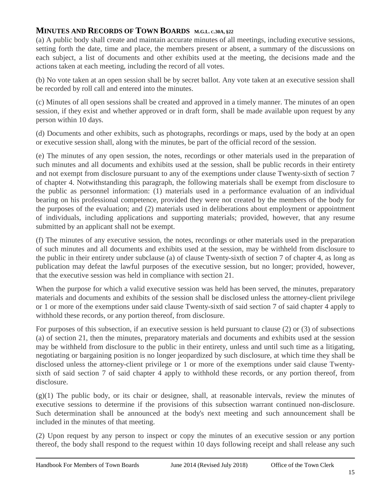### **MINUTES AND RECORDS OF TOWN BOARDS M.G.L. C.30A, §22**

(a) A public body shall create and maintain accurate minutes of all meetings, including executive sessions, setting forth the date, time and place, the members present or absent, a summary of the discussions on each subject, a list of documents and other exhibits used at the meeting, the decisions made and the actions taken at each meeting, including the record of all votes.

(b) No vote taken at an open session shall be by secret ballot. Any vote taken at an executive session shall be recorded by roll call and entered into the minutes.

(c) Minutes of all open sessions shall be created and approved in a timely manner. The minutes of an open session, if they exist and whether approved or in draft form, shall be made available upon request by any person within 10 days.

(d) Documents and other exhibits, such as photographs, recordings or maps, used by the body at an open or executive session shall, along with the minutes, be part of the official record of the session.

(e) The minutes of any open session, the notes, recordings or other materials used in the preparation of such minutes and all documents and exhibits used at the session, shall be public records in their entirety and not exempt from disclosure pursuant to any of the exemptions under clause Twenty-sixth of section 7 of chapter 4. Notwithstanding this paragraph, the following materials shall be exempt from disclosure to the public as personnel information: (1) materials used in a performance evaluation of an individual bearing on his professional competence, provided they were not created by the members of the body for the purposes of the evaluation; and (2) materials used in deliberations about employment or appointment of individuals, including applications and supporting materials; provided, however, that any resume submitted by an applicant shall not be exempt.

(f) The minutes of any executive session, the notes, recordings or other materials used in the preparation of such minutes and all documents and exhibits used at the session, may be withheld from disclosure to the public in their entirety under subclause (a) of clause Twenty-sixth of section 7 of chapter 4, as long as publication may defeat the lawful purposes of the executive session, but no longer; provided, however, that the executive session was held in compliance with section 21.

When the purpose for which a valid executive session was held has been served, the minutes, preparatory materials and documents and exhibits of the session shall be disclosed unless the attorney-client privilege or 1 or more of the exemptions under said clause Twenty-sixth of said section 7 of said chapter 4 apply to withhold these records, or any portion thereof, from disclosure.

For purposes of this subsection, if an executive session is held pursuant to clause (2) or (3) of subsections (a) of section 21, then the minutes, preparatory materials and documents and exhibits used at the session may be withheld from disclosure to the public in their entirety, unless and until such time as a litigating, negotiating or bargaining position is no longer jeopardized by such disclosure, at which time they shall be disclosed unless the attorney-client privilege or 1 or more of the exemptions under said clause Twentysixth of said section 7 of said chapter 4 apply to withhold these records, or any portion thereof, from disclosure.

 $(g)(1)$  The public body, or its chair or designee, shall, at reasonable intervals, review the minutes of executive sessions to determine if the provisions of this subsection warrant continued non-disclosure. Such determination shall be announced at the body's next meeting and such announcement shall be included in the minutes of that meeting.

(2) Upon request by any person to inspect or copy the minutes of an executive session or any portion thereof, the body shall respond to the request within 10 days following receipt and shall release any such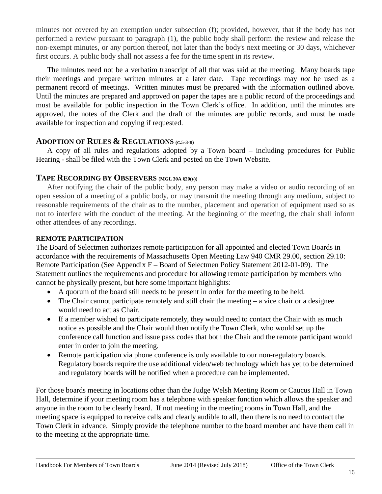minutes not covered by an exemption under subsection (f); provided, however, that if the body has not performed a review pursuant to paragraph (1), the public body shall perform the review and release the non-exempt minutes, or any portion thereof, not later than the body's next meeting or 30 days, whichever first occurs. A public body shall not assess a fee for the time spent in its review.

The minutes need not be a verbatim transcript of all that was said at the meeting. Many boards tape their meetings and prepare written minutes at a later date. Tape recordings may *not* be used as a permanent record of meetings. Written minutes must be prepared with the information outlined above. Until the minutes are prepared and approved on paper the tapes are a public record of the proceedings and must be available for public inspection in the Town Clerk's office. In addition, until the minutes are approved, the notes of the Clerk and the draft of the minutes are public records, and must be made available for inspection and copying if requested.

### <span id="page-16-0"></span>**ADOPTION OF RULES & REGULATIONS (C.5-3-B)**

A copy of all rules and regulations adopted by a Town board – including procedures for Public Hearing - shall be filed with the Town Clerk and posted on the Town Website.

### <span id="page-16-1"></span>**TAPE RECORDING BY OBSERVERS (MGL 30A §20(F))**

After notifying the chair of the public body, any person may make a video or audio recording of an open session of a meeting of a public body, or may transmit the meeting through any medium, subject to reasonable requirements of the chair as to the number, placement and operation of equipment used so as not to interfere with the conduct of the meeting. At the beginning of the meeting, the chair shall inform other attendees of any recordings.

### <span id="page-16-2"></span>**REMOTE PARTICIPATION**

The Board of Selectmen authorizes remote participation for all appointed and elected Town Boards in accordance with the requirements of Massachusetts Open Meeting Law 940 CMR 29.00, section 29.10: Remote Participation (See Appendix F – Board of Selectmen Policy Statement 2012-01-09).The Statement outlines the requirements and procedure for allowing remote participation by members who cannot be physically present, but here some important highlights:

- A quorum of the board still needs to be present in order for the meeting to be held.
- The Chair cannot participate remotely and still chair the meeting  $-\hat{a}$  vice chair or a designee would need to act as Chair.
- If a member wished to participate remotely, they would need to contact the Chair with as much notice as possible and the Chair would then notify the Town Clerk, who would set up the conference call function and issue pass codes that both the Chair and the remote participant would enter in order to join the meeting.
- Remote participation via phone conference is only available to our non-regulatory boards. Regulatory boards require the use additional video/web technology which has yet to be determined and regulatory boards will be notified when a procedure can be implemented.

For those boards meeting in locations other than the Judge Welsh Meeting Room or Caucus Hall in Town Hall, determine if your meeting room has a telephone with speaker function which allows the speaker and anyone in the room to be clearly heard. If not meeting in the meeting rooms in Town Hall, and the meeting space is equipped to receive calls and clearly audible to all, then there is no need to contact the Town Clerk in advance. Simply provide the telephone number to the board member and have them call in to the meeting at the appropriate time.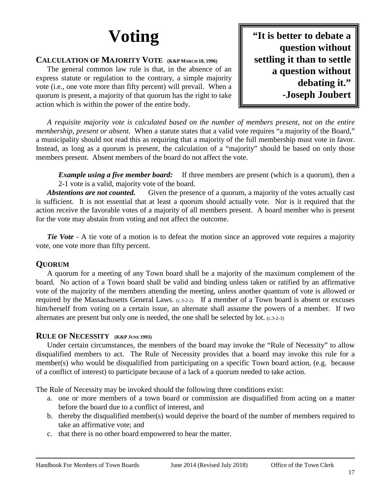# **Voting**

### <span id="page-17-1"></span><span id="page-17-0"></span>**CALCULATION OF MAJORITY VOTE (K&P MARCH 18, 1996)**

The general common law rule is that, in the absence of an express statute or regulation to the contrary, a simple majority vote (i.e., one vote more than fifty percent) will prevail. When a quorum is present, a majority of that quorum has the right to take action which is within the power of the entire body.

**"It is better to debate a question without settling it than to settle a question without debating it." -Joseph Joubert**

*A requisite majority vote is calculated based on the number of members present, not on the entire membership, present or absent.* When a statute states that a valid vote requires "a majority of the Board," a municipality should not read this as requiring that a majority of the full membership must vote in favor. Instead, as long as a quorum is present, the calculation of a "majority" should be based on only those members present. Absent members of the board do not affect the vote.

*Example using a five member board:* If three members are present (which is a quorum), then a 2-1 vote is a valid, majority vote of the board.

*Abstentions are not counted.* Given the presence of a quorum, a majority of the votes actually cast is sufficient. It is not essential that at least a quorum should actually vote. Nor is it required that the action receive the favorable votes of a majority of all members present. A board member who is present for the vote may abstain from voting and not affect the outcome.

*Tie Vote* - A tie vote of a motion is to defeat the motion since an approved vote requires a majority vote, one vote more than fifty percent.

### <span id="page-17-2"></span>**QUORUM**

A quorum for a meeting of any Town board shall be a majority of the maximum complement of the board. No action of a Town board shall be valid and binding unless taken or ratified by an affirmative vote of the majority of the members attending the meeting, unless another quantum of vote is allowed or required by the Massachusetts General Laws. (c.3-2-2) If a member of a Town board is absent or excuses him/herself from voting on a certain issue, an alternate shall assume the powers of a member. If two alternates are present but only one is needed, the one shall be selected by lot. (c.3-2-3)

### <span id="page-17-3"></span>**RULE OF NECESSITY (K&P JUNE 1993)**

Under certain circumstances, the members of the board may invoke the "Rule of Necessity" to allow disqualified members to act. The Rule of Necessity provides that a board may invoke this rule for a member(s) who would be disqualified from participating on a specific Town board action, (e.g. because of a conflict of interest) to participate because of a lack of a quorum needed to take action.

The Rule of Necessity may be invoked should the following three conditions exist:

- a. one or more members of a town board or commission are disqualified from acting on a matter before the board due to a conflict of interest, and
- b. thereby the disqualified member(s) would deprive the board of the number of members required to take an affirmative vote; and
- c. that there is no other board empowered to hear the matter.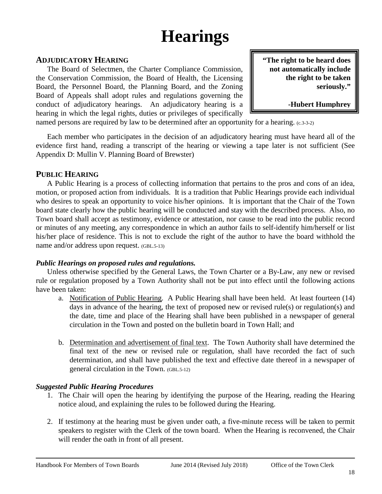### **Hearings**

### <span id="page-18-1"></span><span id="page-18-0"></span>**ADJUDICATORY HEARING**

The Board of Selectmen, the Charter Compliance Commission, the Conservation Commission, the Board of Health, the Licensing Board, the Personnel Board, the Planning Board, and the Zoning Board of Appeals shall adopt rules and regulations governing the conduct of adjudicatory hearings. An adjudicatory hearing is a hearing in which the legal rights, duties or privileges of specifically **"The right to be heard does not automatically include the right to be taken seriously."**

**-Hubert Humphrey**

named persons are required by law to be determined after an opportunity for a hearing. (c.3-3-2)

Each member who participates in the decision of an adjudicatory hearing must have heard all of the evidence first hand, reading a transcript of the hearing or viewing a tape later is not sufficient (See Appendix D: Mullin V. Planning Board of Brewster)

### <span id="page-18-2"></span>**PUBLIC HEARING**

A Public Hearing is a process of collecting information that pertains to the pros and cons of an idea, motion, or proposed action from individuals. It is a tradition that Public Hearings provide each individual who desires to speak an opportunity to voice his/her opinions. It is important that the Chair of the Town board state clearly how the public hearing will be conducted and stay with the described process. Also, no Town board shall accept as testimony, evidence or attestation, nor cause to be read into the public record or minutes of any meeting, any correspondence in which an author fails to self-identify him/herself or list his/her place of residence. This is not to exclude the right of the author to have the board withhold the name and/or address upon request. (GBL.5-13)

### *Public Hearings on proposed rules and regulations.*

Unless otherwise specified by the General Laws, the Town Charter or a By-Law, any new or revised rule or regulation proposed by a Town Authority shall not be put into effect until the following actions have been taken:

- a. Notification of Public Hearing. A Public Hearing shall have been held. At least fourteen (14) days in advance of the hearing, the text of proposed new or revised rule(s) or regulation(s) and the date, time and place of the Hearing shall have been published in a newspaper of general circulation in the Town and posted on the bulletin board in Town Hall; and
- b. Determination and advertisement of final text. The Town Authority shall have determined the final text of the new or revised rule or regulation, shall have recorded the fact of such determination, and shall have published the text and effective date thereof in a newspaper of general circulation in the Town. (GBL.5-12)

### *Suggested Public Hearing Procedures*

- 1. The Chair will open the hearing by identifying the purpose of the Hearing, reading the Hearing notice aloud, and explaining the rules to be followed during the Hearing.
- 2. If testimony at the hearing must be given under oath, a five-minute recess will be taken to permit speakers to register with the Clerk of the town board. When the Hearing is reconvened, the Chair will render the oath in front of all present.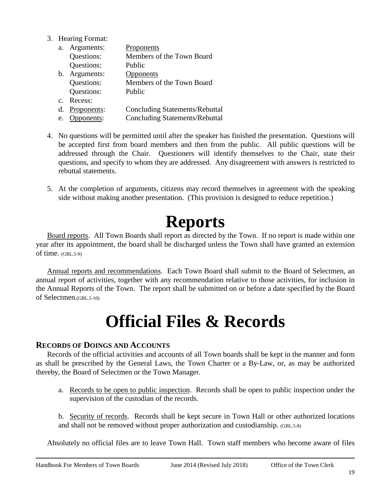3. Hearing Format:

| a.          | Arguments:  | Proponents                            |
|-------------|-------------|---------------------------------------|
|             | Questions:  | Members of the Town Board             |
|             | Questions:  | Public                                |
| b.          | Arguments:  | Opponents                             |
|             | Questions:  | Members of the Town Board             |
|             | Questions:  | Public                                |
| $C_{\cdot}$ | Recess:     |                                       |
| d.          | Proponents: | <b>Concluding Statements/Rebuttal</b> |
| e.          | Opponents:  | <b>Concluding Statements/Rebuttal</b> |

- 4. No questions will be permitted until after the speaker has finished the presentation. Questions will be accepted first from board members and then from the public. All public questions will be addressed through the Chair. Questioners will identify themselves to the Chair, state their questions, and specify to whom they are addressed. Any disagreement with answers is restricted to rebuttal statements.
- 5. At the completion of arguments, citizens may record themselves in agreement with the speaking side without making another presentation. (This provision is designed to reduce repetition.)

### **Reports**

<span id="page-19-0"></span>Board reports. All Town Boards shall report as directed by the Town. If no report is made within one year after its appointment, the board shall be discharged unless the Town shall have granted an extension of time. (GBL.5-9)

Annual reports and recommendations. Each Town Board shall submit to the Board of Selectmen, an annual report of activities, together with any recommendation relative to those activities, for inclusion in the Annual Reports of the Town. The report shall be submitted on or before a date specified by the Board of Selectmen.(GBL.5-10)

### **Official Files & Records**

### <span id="page-19-2"></span><span id="page-19-1"></span>**RECORDS OF DOINGS AND ACCOUNTS**

Records of the official activities and accounts of all Town boards shall be kept in the manner and form as shall be prescribed by the General Laws, the Town Charter or a By-Law, or, as may be authorized thereby, the Board of Selectmen or the Town Manager.

- a. Records to be open to public inspection. Records shall be open to public inspection under the supervision of the custodian of the records.
- b. Security of records. Records shall be kept secure in Town Hall or other authorized locations and shall not be removed without proper authorization and custodianship. (GBL.5-8)

Absolutely no official files are to leave Town Hall. Town staff members who become aware of files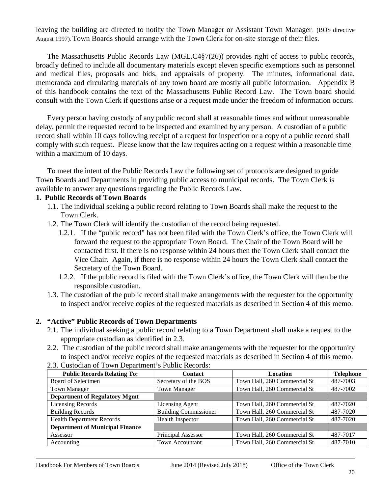leaving the building are directed to notify the Town Manager or Assistant Town Manager. (BOS directive August 1997). Town Boards should arrange with the Town Clerk for on-site storage of their files.

The Massachusetts Public Records Law (MGL.C4§7(26)) provides right of access to public records, broadly defined to include all documentary materials except eleven specific exemptions such as personnel and medical files, proposals and bids, and appraisals of property. The minutes, informational data, memoranda and circulating materials of any town board are mostly all public information. Appendix B of this handbook contains the text of the Massachusetts Public Record Law. The Town board should consult with the Town Clerk if questions arise or a request made under the freedom of information occurs.

Every person having custody of any public record shall at reasonable times and without unreasonable delay, permit the requested record to be inspected and examined by any person. A custodian of a public record shall within 10 days following receipt of a request for inspection or a copy of a public record shall comply with such request. Please know that the law requires acting on a request within a reasonable time within a maximum of 10 days.

To meet the intent of the Public Records Law the following set of protocols are designed to guide Town Boards and Departments in providing public access to municipal records. The Town Clerk is available to answer any questions regarding the Public Records Law.

#### **1. Public Records of Town Boards**

- 1.1. The individual seeking a public record relating to Town Boards shall make the request to the Town Clerk.
- 1.2. The Town Clerk will identify the custodian of the record being requested.
	- 1.2.1. If the "public record" has not been filed with the Town Clerk's office, the Town Clerk will forward the request to the appropriate Town Board. The Chair of the Town Board will be contacted first. If there is no response within 24 hours then the Town Clerk shall contact the Vice Chair. Again, if there is no response within 24 hours the Town Clerk shall contact the Secretary of the Town Board.
	- 1.2.2. If the public record is filed with the Town Clerk's office, the Town Clerk will then be the responsible custodian.
- 1.3. The custodian of the public record shall make arrangements with the requester for the opportunity to inspect and/or receive copies of the requested materials as described in Section 4 of this memo.

#### **2. "Active" Public Records of Town Departments**

- 2.1. The individual seeking a public record relating to a Town Department shall make a request to the appropriate custodian as identified in 2.3.
- 2.2. The custodian of the public record shall make arrangements with the requester for the opportunity to inspect and/or receive copies of the requested materials as described in Section 4 of this memo.

| <b>Public Records Relating To:</b>     | <b>Contact</b>               | <b>Location</b>              | <b>Telephone</b> |
|----------------------------------------|------------------------------|------------------------------|------------------|
| Board of Selectmen                     | Secretary of the BOS         | Town Hall, 260 Commercial St | 487-7003         |
| <b>Town Manager</b>                    | <b>Town Manager</b>          | Town Hall, 260 Commercial St | 487-7002         |
| <b>Department of Regulatory Mgmt</b>   |                              |                              |                  |
| <b>Licensing Records</b>               | Licensing Agent              | Town Hall, 260 Commercial St | 487-7020         |
| <b>Building Records</b>                | <b>Building Commissioner</b> | Town Hall, 260 Commercial St | 487-7020         |
| <b>Health Department Records</b>       | Health Inspector             | Town Hall, 260 Commercial St | 487-7020         |
| <b>Department of Municipal Finance</b> |                              |                              |                  |
| Assessor                               | Principal Assessor           | Town Hall, 260 Commercial St | 487-7017         |
| Accounting                             | <b>Town Accountant</b>       | Town Hall, 260 Commercial St | 487-7010         |

2.3. Custodian of Town Department's Public Records: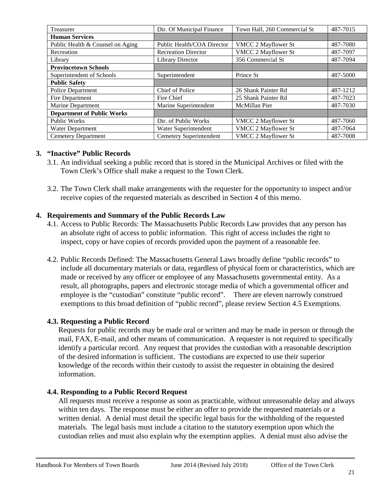| Treasurer                         | Dir. Of Municipal Finance  | Town Hall, 260 Commercial St | 487-7015 |
|-----------------------------------|----------------------------|------------------------------|----------|
| <b>Human Services</b>             |                            |                              |          |
| Public Health & Counsel on Aging  | Public Health/COA Director | VMCC 2 Mayflower St          | 487-7080 |
| Recreation                        | <b>Recreation Director</b> | VMCC 2 Mayflower St          | 487-7097 |
| Library                           | <b>Library Director</b>    | 356 Commercial St            | 487-7094 |
| <b>Provincetown Schools</b>       |                            |                              |          |
| Superintendent of Schools         | Superintendent             | Prince St                    | 487-5000 |
| <b>Public Safety</b>              |                            |                              |          |
| Police Department                 | Chief of Police            | 26 Shank Painter Rd          | 487-1212 |
| Fire Department                   | Fire Chief                 | 25 Shank Painter Rd          | 487-7023 |
| Marine Department                 | Marine Superintendent      | McMillan Pier                | 487-7030 |
| <b>Department of Public Works</b> |                            |                              |          |
| <b>Public Works</b>               | Dir. of Public Works       | VMCC 2 Mayflower St          | 487-7060 |
| Water Department                  | Water Superintendent       | VMCC 2 Mayflower St          | 487-7064 |
| <b>Cemetery Department</b>        | Cemetery Superintendent    | VMCC 2 Mayflower St          | 487-7008 |

### **3. "Inactive" Public Records**

- 3.1. An individual seeking a public record that is stored in the Municipal Archives or filed with the Town Clerk's Office shall make a request to the Town Clerk.
- 3.2. The Town Clerk shall make arrangements with the requester for the opportunity to inspect and/or receive copies of the requested materials as described in Section 4 of this memo.

### **4. Requirements and Summary of the Public Records Law**

- 4.1. Access to Public Records: The Massachusetts Public Records Law provides that any person has an absolute right of access to public information. This right of access includes the right to inspect, copy or have copies of records provided upon the payment of a reasonable fee.
- 4.2. Public Records Defined: The Massachusetts General Laws broadly define "public records" to include all documentary materials or data, regardless of physical form or characteristics, which are made or received by any officer or employee of any Massachusetts governmental entity. As a result, all photographs, papers and electronic storage media of which a governmental officer and employee is the "custodian" constitute "public record". There are eleven narrowly construed exemptions to this broad definition of "public record", please review Section 4.5 Exemptions.

### **4.3. Requesting a Public Record**

Requests for public records may be made oral or written and may be made in person or through the mail, FAX, E-mail, and other means of communication. A requester is not required to specifically identify a particular record. Any request that provides the custodian with a reasonable description of the desired information is sufficient. The custodians are expected to use their superior knowledge of the records within their custody to assist the requester in obtaining the desired information.

### **4.4. Responding to a Public Record Request**

All requests must receive a response as soon as practicable, without unreasonable delay and always within ten days. The response must be either an offer to provide the requested materials or a written denial. A denial must detail the specific legal basis for the withholding of the requested materials. The legal basis must include a citation to the statutory exemption upon which the custodian relies and must also explain why the exemption applies. A denial must also advise the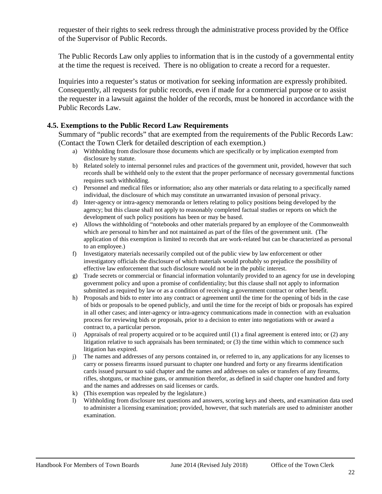requester of their rights to seek redress through the administrative process provided by the Office of the Supervisor of Public Records.

The Public Records Law only applies to information that is in the custody of a governmental entity at the time the request is received. There is no obligation to create a record for a requester.

Inquiries into a requester's status or motivation for seeking information are expressly prohibited. Consequently, all requests for public records, even if made for a commercial purpose or to assist the requester in a lawsuit against the holder of the records, must be honored in accordance with the Public Records Law.

### **4.5. Exemptions to the Public Record Law Requirements**

Summary of "public records" that are exempted from the requirements of the Public Records Law: (Contact the Town Clerk for detailed description of each exemption.)

- a) Withholding from disclosure those documents which are specifically or by implication exempted from disclosure by statute.
- b) Related solely to internal personnel rules and practices of the government unit, provided, however that such records shall be withheld only to the extent that the proper performance of necessary governmental functions requires such withholding.
- c) Personnel and medical files or information; also any other materials or data relating to a specifically named individual, the disclosure of which may constitute an unwarranted invasion of personal privacy.
- d) Inter-agency or intra-agency memoranda or letters relating to policy positions being developed by the agency; but this clause shall not apply to reasonably completed factual studies or reports on which the development of such policy positions has been or may be based.
- e) Allows the withholding of "notebooks and other materials prepared by an employee of the Commonwealth which are personal to him/her and not maintained as part of the files of the government unit. (The application of this exemption is limited to records that are work-related but can be characterized as personal to an employee.)
- f) Investigatory materials necessarily compiled out of the public view by law enforcement or other investigatory officials the disclosure of which materials would probably so prejudice the possibility of effective law enforcement that such disclosure would not be in the public interest.
- g) Trade secrets or commercial or financial information voluntarily provided to an agency for use in developing government policy and upon a promise of confidentiality; but this clause shall not apply to information submitted as required by law or as a condition of receiving a government contract or other benefit.
- h) Proposals and bids to enter into any contract or agreement until the time for the opening of bids in the case of bids or proposals to be opened publicly, and until the time for the receipt of bids or proposals has expired in all other cases; and inter-agency or intra-agency communications made in connection with an evaluation process for reviewing bids or proposals, prior to a decision to enter into negotiations with or award a contract to, a particular person.
- i) Appraisals of real property acquired or to be acquired until (1) a final agreement is entered into; or (2) any litigation relative to such appraisals has been terminated; or (3) the time within which to commence such litigation has expired.
- j) The names and addresses of any persons contained in, or referred to in, any applications for any licenses to carry or possess firearms issued pursuant to chapter one hundred and forty or any firearms identification cards issued pursuant to said chapter and the names and addresses on sales or transfers of any firearms, rifles, shotguns, or machine guns, or ammunition therefor, as defined in said chapter one hundred and forty and the names and addresses on said licenses or cards.
- k) (This exemption was repealed by the legislature.)
- l) Withholding from disclosure test questions and answers, scoring keys and sheets, and examination data used to administer a licensing examination; provided, however, that such materials are used to administer another examination.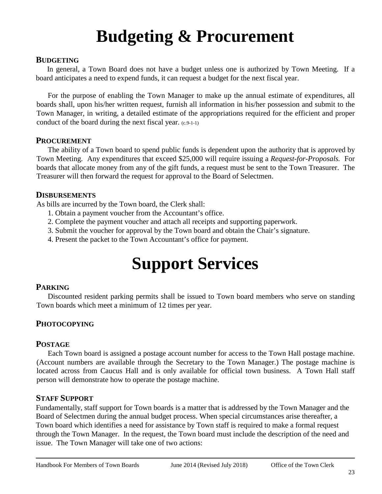## **Budgeting & Procurement**

### <span id="page-23-1"></span><span id="page-23-0"></span>**BUDGETING**

In general, a Town Board does not have a budget unless one is authorized by Town Meeting. If a board anticipates a need to expend funds, it can request a budget for the next fiscal year.

For the purpose of enabling the Town Manager to make up the annual estimate of expenditures, all boards shall, upon his/her written request, furnish all information in his/her possession and submit to the Town Manager, in writing, a detailed estimate of the appropriations required for the efficient and proper conduct of the board during the next fiscal year. (c.9-1-1)

### <span id="page-23-2"></span>**PROCUREMENT**

The ability of a Town board to spend public funds is dependent upon the authority that is approved by Town Meeting. Any expenditures that exceed \$25,000 will require issuing a *Request-for-Proposals.* For boards that allocate money from any of the gift funds, a request must be sent to the Town Treasurer. The Treasurer will then forward the request for approval to the Board of Selectmen.

### <span id="page-23-3"></span>**DISBURSEMENTS**

As bills are incurred by the Town board, the Clerk shall:

- 1. Obtain a payment voucher from the Accountant's office.
- 2. Complete the payment voucher and attach all receipts and supporting paperwork.
- 3. Submit the voucher for approval by the Town board and obtain the Chair's signature.
- <span id="page-23-4"></span>4. Present the packet to the Town Accountant's office for payment.

## **Support Services**

### <span id="page-23-5"></span>**PARKING**

Discounted resident parking permits shall be issued to Town board members who serve on standing Town boards which meet a minimum of 12 times per year.

### <span id="page-23-6"></span>**PHOTOCOPYING**

### <span id="page-23-7"></span>**POSTAGE**

Each Town board is assigned a postage account number for access to the Town Hall postage machine. (Account numbers are available through the Secretary to the Town Manager.) The postage machine is located across from Caucus Hall and is only available for official town business. A Town Hall staff person will demonstrate how to operate the postage machine.

### <span id="page-23-8"></span>**STAFF SUPPORT**

Fundamentally, staff support for Town boards is a matter that is addressed by the Town Manager and the Board of Selectmen during the annual budget process. When special circumstances arise thereafter, a Town board which identifies a need for assistance by Town staff is required to make a formal request through the Town Manager. In the request, the Town board must include the description of the need and issue. The Town Manager will take one of two actions: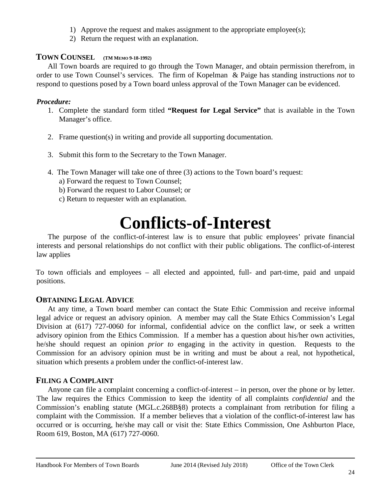- 1) Approve the request and makes assignment to the appropriate employee(s);
- 2) Return the request with an explanation.

### <span id="page-24-0"></span>**TOWN COUNSEL (TM MEMO 9-18-1992)**

All Town boards are required to go through the Town Manager, and obtain permission therefrom, in order to use Town Counsel's services. The firm of Kopelman & Paige has standing instructions *not* to respond to questions posed by a Town board unless approval of the Town Manager can be evidenced.

### *Procedure:*

- 1. Complete the standard form titled **"Request for Legal Service"** that is available in the Town Manager's office.
- 2. Frame question(s) in writing and provide all supporting documentation.
- 3. Submit this form to the Secretary to the Town Manager.
- 4. The Town Manager will take one of three (3) actions to the Town board's request: a) Forward the request to Town Counsel;
	- b) Forward the request to Labor Counsel; or
	- c) Return to requester with an explanation.

### **Conflicts-of-Interest**

<span id="page-24-1"></span>The purpose of the conflict-of-interest law is to ensure that public employees' private financial interests and personal relationships do not conflict with their public obligations. The conflict-of-interest law applies

To town officials and employees – all elected and appointed, full- and part-time, paid and unpaid positions.

### <span id="page-24-2"></span>**OBTAINING LEGAL ADVICE**

At any time, a Town board member can contact the State Ethic Commission and receive informal legal advice or request an advisory opinion. A member may call the State Ethics Commission's Legal Division at (617) 727-0060 for informal, confidential advice on the conflict law, or seek a written advisory opinion from the Ethics Commission. If a member has a question about his/her own activities, he/she should request an opinion *prior to* engaging in the activity in question. Requests to the Commission for an advisory opinion must be in writing and must be about a real, not hypothetical, situation which presents a problem under the conflict-of-interest law.

### <span id="page-24-3"></span>**FILING A COMPLAINT**

Anyone can file a complaint concerning a conflict-of-interest – in person, over the phone or by letter. The law requires the Ethics Commission to keep the identity of all complaints *confidential* and the Commission's enabling statute (MGL.c.268B§8) protects a complainant from retribution for filing a complaint with the Commission. If a member believes that a violation of the conflict-of-interest law has occurred or is occurring, he/she may call or visit the: State Ethics Commission, One Ashburton Place, Room 619, Boston, MA (617) 727-0060.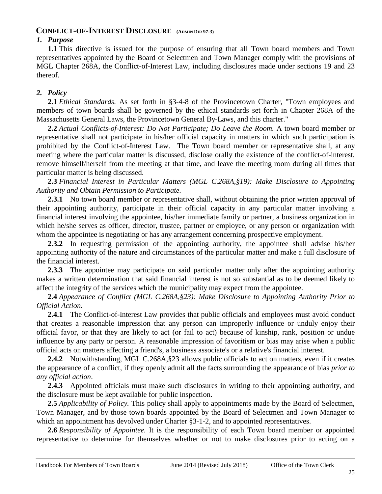### <span id="page-25-0"></span>**CONFLICT-OF-INTEREST DISCLOSURE (ADMIN DIR 97-3)**

### *1. Purpose*

**1.1** This directive is issued for the purpose of ensuring that all Town board members and Town representatives appointed by the Board of Selectmen and Town Manager comply with the provisions of MGL Chapter 268A, the Conflict-of-Interest Law, including disclosures made under sections 19 and 23 thereof.

### *2. Policy*

**2.1** *Ethical Standards.* As set forth in §3-4-8 of the Provincetown Charter, "Town employees and members of town boards shall be governed by the ethical standards set forth in Chapter 268A of the Massachusetts General Laws, the Provincetown General By-Laws, and this charter."

**2.2** *Actual Conflicts-of-Interest: Do Not Participate; Do Leave the Room.* A town board member or representative shall not participate in his/her official capacity in matters in which such participation is prohibited by the Conflict-of-Interest Law. The Town board member or representative shall, at any meeting where the particular matter is discussed, disclose orally the existence of the conflict-of-interest, remove himself/herself from the meeting at that time, and leave the meeting room during all times that particular matter is being discussed.

**2.3** *Financial Interest in Particular Matters (MGL C.268A,§19): Make Disclosure to Appointing Authority and Obtain Permission to Participate.*

**2.3.1** No town board member or representative shall, without obtaining the prior written approval of their appointing authority, participate in their official capacity in any particular matter involving a financial interest involving the appointee, his/her immediate family or partner, a business organization in which he/she serves as officer, director, trustee, partner or employee, or any person or organization with whom the appointee is negotiating or has any arrangement concerning prospective employment.

2.3.2 In requesting permission of the appointing authority, the appointee shall advise his/her appointing authority of the nature and circumstances of the particular matter and make a full disclosure of the financial interest.

**2.3.3** The appointee may participate on said particular matter only after the appointing authority makes a written determination that said financial interest is not so substantial as to be deemed likely to affect the integrity of the services which the municipality may expect from the appointee.

**2.4** *Appearance of Conflict (MGL C.268A,§23): Make Disclosure to Appointing Authority Prior to Official Action.*

**2.4.1** The Conflict-of-Interest Law provides that public officials and employees must avoid conduct that creates a reasonable impression that any person can improperly influence or unduly enjoy their official favor, or that they are likely to act (or fail to act) because of kinship, rank, position or undue influence by any party or person. A reasonable impression of favoritism or bias may arise when a public official acts on matters affecting a friend's, a business associate's or a relative's financial interest.

**2.4.2** Notwithstanding, MGL C.268A,§23 allows public officials to act on matters, even if it creates the appearance of a conflict, if they openly admit all the facts surrounding the appearance of bias *prior to any official action*.

**2.4.3** Appointed officials must make such disclosures in writing to their appointing authority, and the disclosure must be kept available for public inspection.

**2.5** *Applicability of Policy.* This policy shall apply to appointments made by the Board of Selectmen, Town Manager, and by those town boards appointed by the Board of Selectmen and Town Manager to which an appointment has devolved under Charter §3-1-2, and to appointed representatives.

**2.6** *Responsibility of Appointee.* It is the responsibility of each Town board member or appointed representative to determine for themselves whether or not to make disclosures prior to acting on a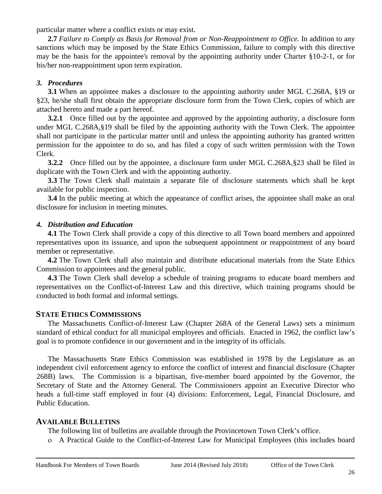particular matter where a conflict exists or may exist.

**2.7** *Failure to Comply as Basis for Removal from or Non-Reappointment to Office.* In addition to any sanctions which may be imposed by the State Ethics Commission, failure to comply with this directive may be the basis for the appointee's removal by the appointing authority under Charter §10-2-1, or for his/her non-reappointment upon term expiration.

### *3. Procedures*

**3.1** When an appointee makes a disclosure to the appointing authority under MGL C.268A, §19 or §23, he/she shall first obtain the appropriate disclosure form from the Town Clerk, copies of which are attached hereto and made a part hereof.

**3.2.1** Once filled out by the appointee and approved by the appointing authority, a disclosure form under MGL C.268A,§19 shall be filed by the appointing authority with the Town Clerk. The appointee shall not participate in the particular matter until and unless the appointing authority has granted written permission for the appointee to do so, and has filed a copy of such written permission with the Town Clerk.

**3.2.2** Once filled out by the appointee, a disclosure form under MGL C.268A,§23 shall be filed in duplicate with the Town Clerk and with the appointing authority.

**3.3** The Town Clerk shall maintain a separate file of disclosure statements which shall be kept available for public inspection.

**3.4** In the public meeting at which the appearance of conflict arises, the appointee shall make an oral disclosure for inclusion in meeting minutes.

### *4. Distribution and Education*

**4.1** The Town Clerk shall provide a copy of this directive to all Town board members and appointed representatives upon its issuance, and upon the subsequent appointment or reappointment of any board member or representative.

**4.2** The Town Clerk shall also maintain and distribute educational materials from the State Ethics Commission to appointees and the general public.

**4.3** The Town Clerk shall develop a schedule of training programs to educate board members and representatives on the Conflict-of-Interest Law and this directive, which training programs should be conducted in both formal and informal settings.

### <span id="page-26-0"></span>**STATE ETHICS COMMISSIONS**

The Massachusetts Conflict-of-Interest Law (Chapter 268A of the General Laws) sets a minimum standard of ethical conduct for all municipal employees and officials. Enacted in 1962, the conflict law's goal is to promote confidence in our government and in the integrity of its officials.

The Massachusetts State Ethics Commission was established in 1978 by the Legislature as an independent civil enforcement agency to enforce the conflict of interest and financial disclosure (Chapter 268B) laws. The Commission is a bipartisan, five-member board appointed by the Governor, the Secretary of State and the Attorney General. The Commissioners appoint an Executive Director who heads a full-time staff employed in four (4) divisions: Enforcement, Legal, Financial Disclosure, and Public Education.

### <span id="page-26-1"></span>**AVAILABLE BULLETINS**

The following list of bulletins are available through the Provincetown Town Clerk's office.

ο A Practical Guide to the Conflict-of-Interest Law for Municipal Employees (this includes board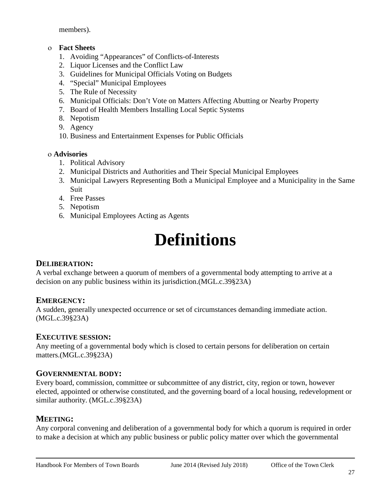members).

### ο **Fact Sheets**

- 1. Avoiding "Appearances" of Conflicts-of-Interests
- 2. Liquor Licenses and the Conflict Law
- 3. Guidelines for Municipal Officials Voting on Budgets
- 4. "Special" Municipal Employees
- 5. The Rule of Necessity
- 6. Municipal Officials: Don't Vote on Matters Affecting Abutting or Nearby Property
- 7. Board of Health Members Installing Local Septic Systems
- 8. Nepotism
- 9. Agency
- 10. Business and Entertainment Expenses for Public Officials

### ο **Advisories**

- 1. Political Advisory
- 2. Municipal Districts and Authorities and Their Special Municipal Employees
- 3. Municipal Lawyers Representing Both a Municipal Employee and a Municipality in the Same Suit
- 4. Free Passes
- 5. Nepotism
- <span id="page-27-0"></span>6. Municipal Employees Acting as Agents

### **Definitions**

### <span id="page-27-1"></span>**DELIBERATION:**

A verbal exchange between a quorum of members of a governmental body attempting to arrive at a decision on any public business within its jurisdiction.(MGL.c.39§23A)

### <span id="page-27-2"></span>**EMERGENCY:**

A sudden, generally unexpected occurrence or set of circumstances demanding immediate action. (MGL.c.39§23A)

### <span id="page-27-3"></span>**EXECUTIVE SESSION:**

Any meeting of a governmental body which is closed to certain persons for deliberation on certain matters.(MGL.c.39§23A)

### <span id="page-27-4"></span>**GOVERNMENTAL BODY:**

Every board, commission, committee or subcommittee of any district, city, region or town, however elected, appointed or otherwise constituted, and the governing board of a local housing, redevelopment or similar authority. (MGL.c.39§23A)

### <span id="page-27-5"></span>**MEETING:**

Any corporal convening and deliberation of a governmental body for which a quorum is required in order to make a decision at which any public business or public policy matter over which the governmental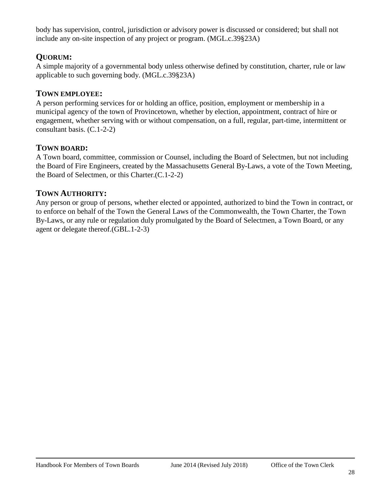body has supervision, control, jurisdiction or advisory power is discussed or considered; but shall not include any on-site inspection of any project or program. (MGL.c.39§23A)

### <span id="page-28-0"></span>**QUORUM:**

A simple majority of a governmental body unless otherwise defined by constitution, charter, rule or law applicable to such governing body. (MGL.c.39§23A)

### <span id="page-28-1"></span>**TOWN EMPLOYEE:**

A person performing services for or holding an office, position, employment or membership in a municipal agency of the town of Provincetown, whether by election, appointment, contract of hire or engagement, whether serving with or without compensation, on a full, regular, part-time, intermittent or consultant basis. (C.1-2-2)

### <span id="page-28-2"></span>**TOWN BOARD:**

A Town board, committee, commission or Counsel, including the Board of Selectmen, but not including the Board of Fire Engineers, created by the Massachusetts General By-Laws, a vote of the Town Meeting, the Board of Selectmen, or this Charter.(C.1-2-2)

### <span id="page-28-3"></span>**TOWN AUTHORITY:**

Any person or group of persons, whether elected or appointed, authorized to bind the Town in contract, or to enforce on behalf of the Town the General Laws of the Commonwealth, the Town Charter, the Town By-Laws, or any rule or regulation duly promulgated by the Board of Selectmen, a Town Board, or any agent or delegate thereof.(GBL.1-2-3)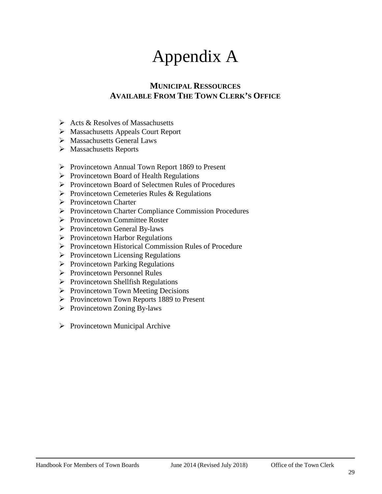### Appendix A

### **MUNICIPAL RESSOURCES AVAILABLE FROM THE TOWN CLERK'S OFFICE**

- <span id="page-29-2"></span><span id="page-29-1"></span><span id="page-29-0"></span> $\triangleright$  Acts & Resolves of Massachusetts
- Massachusetts Appeals Court Report
- Massachusetts General Laws
- Massachusetts Reports
- $\triangleright$  Provincetown Annual Town Report 1869 to Present
- $\triangleright$  Provincetown Board of Health Regulations
- ▶ Provincetown Board of Selectmen Rules of Procedures
- $\triangleright$  Provincetown Cemeteries Rules & Regulations
- **►** Provincetown Charter
- Provincetown Charter Compliance Commission Procedures
- ▶ Provincetown Committee Roster
- $\triangleright$  Provincetown General By-laws
- $\triangleright$  Provincetown Harbor Regulations
- ▶ Provincetown Historical Commission Rules of Procedure
- $\triangleright$  Provincetown Licensing Regulations
- $\triangleright$  Provincetown Parking Regulations
- ▶ Provincetown Personnel Rules
- $\triangleright$  Provincetown Shellfish Regulations
- $\triangleright$  Provincetown Town Meeting Decisions
- $\triangleright$  Provincetown Town Reports 1889 to Present
- $\triangleright$  Provincetown Zoning By-laws
- $\triangleright$  Provincetown Municipal Archive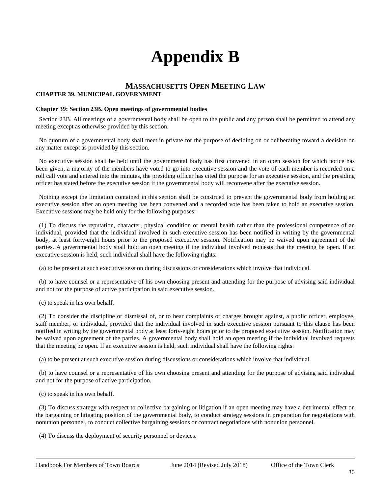### **Appendix B**

#### <span id="page-30-1"></span><span id="page-30-0"></span>**MASSACHUSETTS OPEN MEETING LAW CHAPTER 39. MUNICIPAL GOVERNMENT**

#### **Chapter 39: Section 23B. Open meetings of governmental bodies**

 Section 23B. All meetings of a governmental body shall be open to the public and any person shall be permitted to attend any meeting except as otherwise provided by this section.

 No quorum of a governmental body shall meet in private for the purpose of deciding on or deliberating toward a decision on any matter except as provided by this section.

 No executive session shall be held until the governmental body has first convened in an open session for which notice has been given, a majority of the members have voted to go into executive session and the vote of each member is recorded on a roll call vote and entered into the minutes, the presiding officer has cited the purpose for an executive session, and the presiding officer has stated before the executive session if the governmental body will reconvene after the executive session.

 Nothing except the limitation contained in this section shall be construed to prevent the governmental body from holding an executive session after an open meeting has been convened and a recorded vote has been taken to hold an executive session. Executive sessions may be held only for the following purposes:

 (1) To discuss the reputation, character, physical condition or mental health rather than the professional competence of an individual, provided that the individual involved in such executive session has been notified in writing by the governmental body, at least forty-eight hours prior to the proposed executive session. Notification may be waived upon agreement of the parties. A governmental body shall hold an open meeting if the individual involved requests that the meeting be open. If an executive session is held, such individual shall have the following rights:

(a) to be present at such executive session during discussions or considerations which involve that individual.

 (b) to have counsel or a representative of his own choosing present and attending for the purpose of advising said individual and not for the purpose of active participation in said executive session.

(c) to speak in his own behalf.

 (2) To consider the discipline or dismissal of, or to hear complaints or charges brought against, a public officer, employee, staff member, or individual, provided that the individual involved in such executive session pursuant to this clause has been notified in writing by the governmental body at least forty-eight hours prior to the proposed executive session. Notification may be waived upon agreement of the parties. A governmental body shall hold an open meeting if the individual involved requests that the meeting be open. If an executive session is held, such individual shall have the following rights:

(a) to be present at such executive session during discussions or considerations which involve that individual.

 (b) to have counsel or a representative of his own choosing present and attending for the purpose of advising said individual and not for the purpose of active participation.

(c) to speak in his own behalf.

 (3) To discuss strategy with respect to collective bargaining or litigation if an open meeting may have a detrimental effect on the bargaining or litigating position of the governmental body, to conduct strategy sessions in preparation for negotiations with nonunion personnel, to conduct collective bargaining sessions or contract negotiations with nonunion personnel.

(4) To discuss the deployment of security personnel or devices.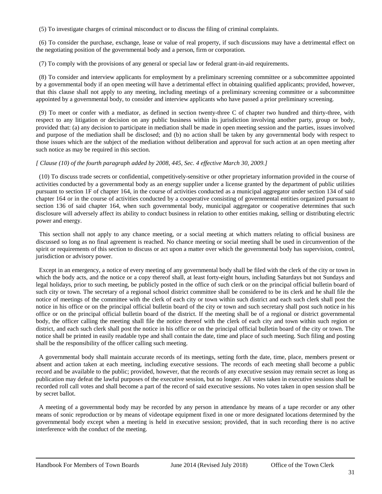(5) To investigate charges of criminal misconduct or to discuss the filing of criminal complaints.

 (6) To consider the purchase, exchange, lease or value of real property, if such discussions may have a detrimental effect on the negotiating position of the governmental body and a person, firm or corporation.

(7) To comply with the provisions of any general or special law or federal grant-in-aid requirements.

 (8) To consider and interview applicants for employment by a preliminary screening committee or a subcommittee appointed by a governmental body if an open meeting will have a detrimental effect in obtaining qualified applicants; provided, however, that this clause shall not apply to any meeting, including meetings of a preliminary screening committee or a subcommittee appointed by a governmental body, to consider and interview applicants who have passed a prior preliminary screening.

 (9) To meet or confer with a mediator, as defined in section twenty-three C of chapter two hundred and thirty-three, with respect to any litigation or decision on any public business within its jurisdiction involving another party, group or body, provided that: (a) any decision to participate in mediation shall be made in open meeting session and the parties, issues involved and purpose of the mediation shall be disclosed; and (b) no action shall be taken by any governmental body with respect to those issues which are the subject of the mediation without deliberation and approval for such action at an open meeting after such notice as may be required in this section.

#### *[ Clause (10) of the fourth paragraph added by 2008, 445, Sec. 4 effective March 30, 2009.]*

 (10) To discuss trade secrets or confidential, competitively-sensitive or other proprietary information provided in the course of activities conducted by a governmental body as an energy supplier under a license granted by the department of public utilities pursuant to section 1F of chapter 164, in the course of activities conducted as a municipal aggregator under section 134 of said chapter 164 or in the course of activities conducted by a cooperative consisting of governmental entities organized pursuant to section 136 of said chapter 164, when such governmental body, municipal aggregator or cooperative determines that such disclosure will adversely affect its ability to conduct business in relation to other entities making, selling or distributing electric power and energy.

 This section shall not apply to any chance meeting, or a social meeting at which matters relating to official business are discussed so long as no final agreement is reached. No chance meeting or social meeting shall be used in circumvention of the spirit or requirements of this section to discuss or act upon a matter over which the governmental body has supervision, control, jurisdiction or advisory power.

 Except in an emergency, a notice of every meeting of any governmental body shall be filed with the clerk of the city or town in which the body acts, and the notice or a copy thereof shall, at least forty-eight hours, including Saturdays but not Sundays and legal holidays, prior to such meeting, be publicly posted in the office of such clerk or on the principal official bulletin board of such city or town. The secretary of a regional school district committee shall be considered to be its clerk and he shall file the notice of meetings of the committee with the clerk of each city or town within such district and each such clerk shall post the notice in his office or on the principal official bulletin board of the city or town and such secretary shall post such notice in his office or on the principal official bulletin board of the district. If the meeting shall be of a regional or district governmental body, the officer calling the meeting shall file the notice thereof with the clerk of each city and town within such region or district, and each such clerk shall post the notice in his office or on the principal official bulletin board of the city or town. The notice shall be printed in easily readable type and shall contain the date, time and place of such meeting. Such filing and posting shall be the responsibility of the officer calling such meeting.

 A governmental body shall maintain accurate records of its meetings, setting forth the date, time, place, members present or absent and action taken at each meeting, including executive sessions. The records of each meeting shall become a public record and be available to the public; provided, however, that the records of any executive session may remain secret as long as publication may defeat the lawful purposes of the executive session, but no longer. All votes taken in executive sessions shall be recorded roll call votes and shall become a part of the record of said executive sessions. No votes taken in open session shall be by secret ballot.

 A meeting of a governmental body may be recorded by any person in attendance by means of a tape recorder or any other means of sonic reproduction or by means of videotape equipment fixed in one or more designated locations determined by the governmental body except when a meeting is held in executive session; provided, that in such recording there is no active interference with the conduct of the meeting.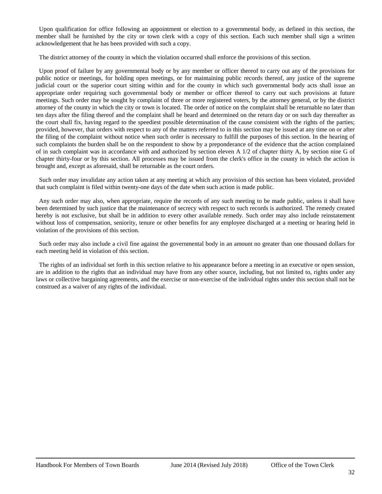Upon qualification for office following an appointment or election to a governmental body, as defined in this section, the member shall be furnished by the city or town clerk with a copy of this section. Each such member shall sign a written acknowledgement that he has been provided with such a copy.

The district attorney of the county in which the violation occurred shall enforce the provisions of this section.

 Upon proof of failure by any governmental body or by any member or officer thereof to carry out any of the provisions for public notice or meetings, for holding open meetings, or for maintaining public records thereof, any justice of the supreme judicial court or the superior court sitting within and for the county in which such governmental body acts shall issue an appropriate order requiring such governmental body or member or officer thereof to carry out such provisions at future meetings. Such order may be sought by complaint of three or more registered voters, by the attorney general, or by the district attorney of the county in which the city or town is located. The order of notice on the complaint shall be returnable no later than ten days after the filing thereof and the complaint shall be heard and determined on the return day or on such day thereafter as the court shall fix, having regard to the speediest possible determination of the cause consistent with the rights of the parties; provided, however, that orders with respect to any of the matters referred to in this section may be issued at any time on or after the filing of the complaint without notice when such order is necessary to fulfill the purposes of this section. In the hearing of such complaints the burden shall be on the respondent to show by a preponderance of the evidence that the action complained of in such complaint was in accordance with and authorized by section eleven A  $1/2$  of chapter thirty A, by section nine G of chapter thirty-four or by this section. All processes may be issued from the clerk's office in the county in which the action is brought and, except as aforesaid, shall be returnable as the court orders.

 Such order may invalidate any action taken at any meeting at which any provision of this section has been violated, provided that such complaint is filed within twenty-one days of the date when such action is made public.

 Any such order may also, when appropriate, require the records of any such meeting to be made public, unless it shall have been determined by such justice that the maintenance of secrecy with respect to such records is authorized. The remedy created hereby is not exclusive, but shall be in addition to every other available remedy. Such order may also include reinstatement without loss of compensation, seniority, tenure or other benefits for any employee discharged at a meeting or hearing held in violation of the provisions of this section.

 Such order may also include a civil fine against the governmental body in an amount no greater than one thousand dollars for each meeting held in violation of this section.

 The rights of an individual set forth in this section relative to his appearance before a meeting in an executive or open session, are in addition to the rights that an individual may have from any other source, including, but not limited to, rights under any laws or collective bargaining agreements, and the exercise or non-exercise of the individual rights under this section shall not be construed as a waiver of any rights of the individual.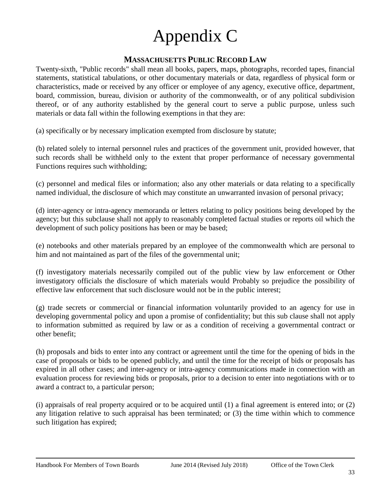### Appendix C

### **MASSACHUSETTS PUBLIC RECORD LAW**

<span id="page-33-1"></span><span id="page-33-0"></span>Twenty-sixth, "Public records" shall mean all books, papers, maps, photographs, recorded tapes, financial statements, statistical tabulations, or other documentary materials or data, regardless of physical form or characteristics, made or received by any officer or employee of any agency, executive office, department, board, commission, bureau, division or authority of the commonwealth, or of any political subdivision thereof, or of any authority established by the general court to serve a public purpose, unless such materials or data fall within the following exemptions in that they are:

(a) specifically or by necessary implication exempted from disclosure by statute;

(b) related solely to internal personnel rules and practices of the government unit, provided however, that such records shall be withheld only to the extent that proper performance of necessary governmental Functions requires such withholding;

(c) personnel and medical files or information; also any other materials or data relating to a specifically named individual, the disclosure of which may constitute an unwarranted invasion of personal privacy;

(d) inter-agency or intra-agency memoranda or letters relating to policy positions being developed by the agency; but this subclause shall not apply to reasonably completed factual studies or reports oil which the development of such policy positions has been or may be based;

(e) notebooks and other materials prepared by an employee of the commonwealth which are personal to him and not maintained as part of the files of the governmental unit;

(f) investigatory materials necessarily compiled out of the public view by law enforcement or Other investigatory officials the disclosure of which materials would Probably so prejudice the possibility of effective law enforcement that such disclosure would not be in the public interest;

(g) trade secrets or commercial or financial information voluntarily provided to an agency for use in developing governmental policy and upon a promise of confidentiality; but this sub clause shall not apply to information submitted as required by law or as a condition of receiving a governmental contract or other benefit;

(h) proposals and bids to enter into any contract or agreement until the time for the opening of bids in the case of proposals or bids to be opened publicly, and until the time for the receipt of bids or proposals has expired in all other cases; and inter-agency or intra-agency communications made in connection with an evaluation process for reviewing bids or proposals, prior to a decision to enter into negotiations with or to award a contract to, a particular person;

(i) appraisals of real property acquired or to be acquired until (1) a final agreement is entered into; or (2) any litigation relative to such appraisal has been terminated; or (3) the time within which to commence such litigation has expired;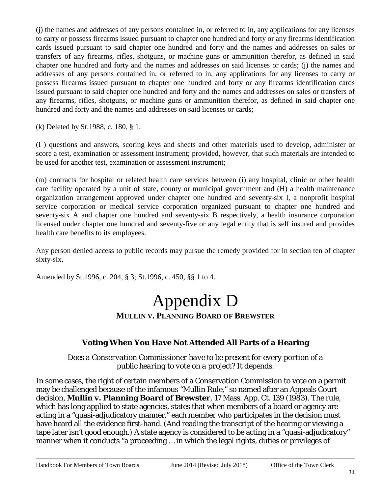(j) the names and addresses of any persons contained in, or referred to in, any applications for any licenses to carry or possess firearms issued pursuant to chapter one hundred and forty or any firearms identification cards issued pursuant to said chapter one hundred and forty and the names and addresses on sales or transfers of any firearms, rifles, shotguns, or machine guns or ammunition therefor, as defined in said chapter one hundred and forty and the names and addresses on said licenses or cards; (j) the names and addresses of any persons contained in, or referred to in, any applications for any licenses to carry or possess firearms issued pursuant to chapter one hundred and forty or any firearms identification cards issued pursuant to said chapter one hundred and forty and the names and addresses on sales or transfers of any firearms, rifles, shotguns, or machine guns or ammunition therefor, as defined in said chapter one hundred and forty and the names and addresses on said licenses or cards;

(k) Deleted by St.1988, c. 180, § 1.

(I ) questions and answers, scoring keys and sheets and other materials used to develop, administer or score a test, examination or assessment instrument; provided, however, that such materials are intended to be used for another test, examination or assessment instrument;

(m) contracts for hospital or related health care services between (i) any hospital, clinic or other health care facility operated by a unit of state, county or municipal government and (H) a health maintenance organization arrangement approved under chapter one hundred and seventy-six I, a nonprofit hospital service corporation or medical service corporation organized pursuant to chapter one hundred and seventy-six A and chapter one hundred and seventy-six B respectively, a health insurance corporation licensed under chapter one hundred and seventy-five or any legal entity that is self insured and provides health care benefits to its employees.

Any person denied access to public records may pursue the remedy provided for in section ten of chapter sixty-six.

<span id="page-34-1"></span><span id="page-34-0"></span>Amended by St.1996, c. 204, § 3; St.1996, c. 450, §§ 1 to 4.

### Appendix D **MULLIN V. PLANNING BOARD OF BREWSTER**

### **Voting When You Have Not Attended All Parts of a Hearing**

*Does a Conservation Commissioner have to be present for every portion of a public hearing to vote on a project? It depends.*

In some cases, the right of certain members of a Conservation Commission to vote on a permit may be challenged because of the infamous "Mullin Rule," so named after an Appeals Court decision, **Mullin v. Planning Board of Brewster**, 17 Mass. App. Ct. 139 (1983). The rule, which has long applied to state agencies, states that when members of a board or agency are acting in a "quasi-adjudicatory manner," each member who participates in the decision must have heard all the evidence first-hand. (And reading the transcript of the hearing or viewing a tape later isn't good enough.) A state agency is considered to be acting in a "quasi-adjudicatory" manner when it conducts "a proceeding … in which the legal rights, duties or privileges of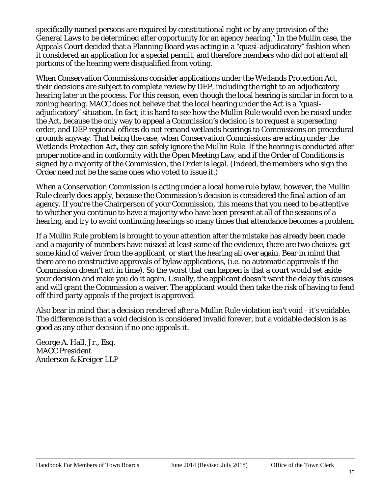specifically named persons are required by constitutional right or by any provision of the General Laws to be determined after opportunity for an agency hearing." In the Mullin case, the Appeals Court decided that a Planning Board was acting in a "quasi-adjudicatory" fashion when it considered an application for a special permit, and therefore members who did not attend all portions of the hearing were disqualified from voting.

When Conservation Commissions consider applications under the Wetlands Protection Act, their decisions are subject to complete review by DEP, including the right to an adjudicatory hearing later in the process. For this reason, even though the local hearing is similar in form to a zoning hearing, MACC does not believe that the local hearing under the Act is a "quasiadjudicatory" situation. In fact, it is hard to see how the Mullin Rule would even be raised under the Act, because the only way to appeal a Commission's decision is to request a superseding order, and DEP regional offices do not remand wetlands hearings to Commissions on procedural grounds anyway. That being the case, when Conservation Commissions are acting under the Wetlands Protection Act, they can safely ignore the Mullin Rule. If the hearing is conducted after proper notice and in conformity with the Open Meeting Law, and if the Order of Conditions is signed by a majority of the Commission, the Order is legal. (Indeed, the members who sign the Order need not be the same ones who voted to issue it.)

When a Conservation Commission is acting under a local home rule bylaw, however, the Mullin Rule clearly does apply, because the Commission's decision is considered the final action of an agency. If you're the Chairperson of your Commission, this means that you need to be attentive to whether you continue to have a majority who have been present at all of the sessions of a hearing, and try to avoid continuing hearings so many times that attendance becomes a problem.

If a Mullin Rule problem is brought to your attention after the mistake has already been made and a majority of members have missed at least some of the evidence, there are two choices: get some kind of waiver from the applicant, or start the hearing all over again. Bear in mind that there are no constructive approvals of bylaw applications, (i.e. no automatic approvals if the Commission doesn't act in time). So the worst that can happen is that a court would set aside your decision and make you do it again. Usually, the applicant doesn't want the delay this causes and will grant the Commission a waiver. The applicant would then take the risk of having to fend off third party appeals if the project is approved.

Also bear in mind that a decision rendered after a Mullin Rule violation isn't void - it's voidable. The difference is that a void decision is considered invalid forever, but a voidable decision is as good as any other decision if no one appeals it.

George A. Hall, Jr., Esq. *MACC President Anderson & Kreiger LLP*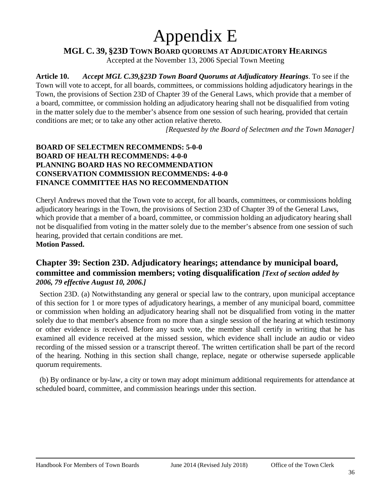### Appendix E

<span id="page-36-0"></span>**MGL C. 39, §23D TOWN BOARD QUORUMS AT ADJUDICATORY HEARINGS**

Accepted at the November 13, 2006 Special Town Meeting

<span id="page-36-1"></span>**Article 10.** *Accept MGL C.39,§23D Town Board Quorums at Adjudicatory Hearings*. To see if the Town will vote to accept, for all boards, committees, or commissions holding adjudicatory hearings in the Town, the provisions of Section 23D of Chapter 39 of the General Laws, which provide that a member of a board, committee, or commission holding an adjudicatory hearing shall not be disqualified from voting in the matter solely due to the member's absence from one session of such hearing, provided that certain conditions are met; or to take any other action relative thereto.

*[Requested by the Board of Selectmen and the Town Manager]*

### **BOARD OF SELECTMEN RECOMMENDS: 5-0-0 BOARD OF HEALTH RECOMMENDS: 4-0-0 PLANNING BOARD HAS NO RECOMMENDATION CONSERVATION COMMISSION RECOMMENDS: 4-0-0 FINANCE COMMITTEE HAS NO RECOMMENDATION**

Cheryl Andrews moved that the Town vote to accept, for all boards, committees, or commissions holding adjudicatory hearings in the Town, the provisions of Section 23D of Chapter 39 of the General Laws, which provide that a member of a board, committee, or commission holding an adjudicatory hearing shall not be disqualified from voting in the matter solely due to the member's absence from one session of such hearing, provided that certain conditions are met. **Motion Passed.**

### **Chapter 39: Section 23D. Adjudicatory hearings; attendance by municipal board, committee and commission members; voting disqualification** *[Text of section added by 2006, 79 effective August 10, 2006.]*

 Section 23D. (a) Notwithstanding any general or special law to the contrary, upon municipal acceptance of this section for 1 or more types of adjudicatory hearings, a member of any municipal board, committee or commission when holding an adjudicatory hearing shall not be disqualified from voting in the matter solely due to that member's absence from no more than a single session of the hearing at which testimony or other evidence is received. Before any such vote, the member shall certify in writing that he has examined all evidence received at the missed session, which evidence shall include an audio or video recording of the missed session or a transcript thereof. The written certification shall be part of the record of the hearing. Nothing in this section shall change, replace, negate or otherwise supersede applicable quorum requirements.

 (b) By ordinance or by-law, a city or town may adopt minimum additional requirements for attendance at scheduled board, committee, and commission hearings under this section.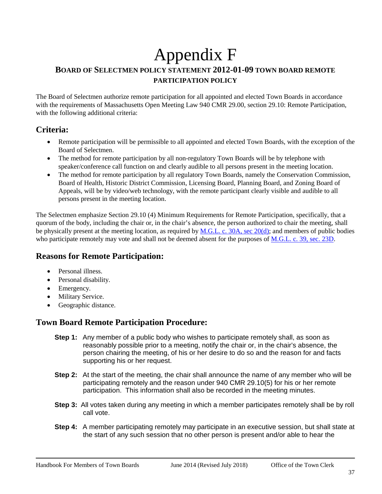### <span id="page-37-1"></span><span id="page-37-0"></span>Appendix F **BOARD OF SELECTMEN POLICY STATEMENT 2012-01-09 TOWN BOARD REMOTE PARTICIPATION POLICY**

The Board of Selectmen authorize remote participation for all appointed and elected Town Boards in accordance with the requirements of Massachusetts Open Meeting Law 940 CMR 29.00, section 29.10: Remote Participation, with the following additional criteria:

### **Criteria:**

- Remote participation will be permissible to all appointed and elected Town Boards, with the exception of the Board of Selectmen.
- The method for remote participation by all non-regulatory Town Boards will be by telephone with speaker/conference call function on and clearly audible to all persons present in the meeting location.
- The method for remote participation by all regulatory Town Boards, namely the Conservation Commission, Board of Health, Historic District Commission, Licensing Board, Planning Board, and Zoning Board of Appeals, will be by video/web technology, with the remote participant clearly visible and audible to all persons present in the meeting location.

The Selectmen emphasize Section 29.10 (4) Minimum Requirements for Remote Participation, specifically, that a quorum of the body, including the chair or, in the chair's absence, the person authorized to chair the meeting, shall be physically present at the meeting location, as required by [M.G.L. c. 30A, sec 20\(d\);](http://www.mass.gov/ago/government-resources/open-meeting-law/open-meeting-law-mgl-c-30a-18-25.html) and members of public bodies who participate remotely may vote and shall not be deemed absent for the purposes of [M.G.L. c. 39, sec. 23D.](http://www.malegislature.gov/Laws/GeneralLaws/PartI/TitleVII/Chapter39/Section23d)

### **Reasons for Remote Participation:**

- Personal illness.
- Personal disability.
- Emergency.
- Military Service.
- Geographic distance.

### **Town Board Remote Participation Procedure:**

- **Step 1:** Any member of a public body who wishes to participate remotely shall, as soon as reasonably possible prior to a meeting, notify the chair or, in the chair's absence, the person chairing the meeting, of his or her desire to do so and the reason for and facts supporting his or her request.
- **Step 2:** At the start of the meeting, the chair shall announce the name of any member who will be participating remotely and the reason under 940 CMR 29.10(5) for his or her remote participation. This information shall also be recorded in the meeting minutes.
- **Step 3:** All votes taken during any meeting in which a member participates remotely shall be by roll call vote.
- **Step 4:** A member participating remotely may participate in an executive session, but shall state at the start of any such session that no other person is present and/or able to hear the